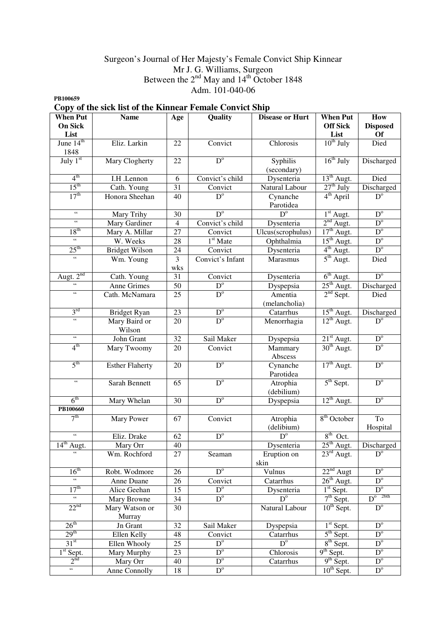## Surgeon's Journal of Her Majesty's Female Convict Ship Kinnear Mr J. G. Williams, Surgeon Between the  $2<sup>nd</sup>$  May and  $14<sup>th</sup>$  October 1848 Adm. 101-040-06

**PB100659** 

# **Copy of the sick list of the Kinnear Female Convict Ship**

| <b>When Put</b>                           | <b>Name</b>              | Age                      | Quality                | <b>Disease or Hurt</b>  | <b>When Put</b>        | How                                        |
|-------------------------------------------|--------------------------|--------------------------|------------------------|-------------------------|------------------------|--------------------------------------------|
| <b>On Sick</b>                            |                          |                          |                        |                         | <b>Off Sick</b>        | <b>Disposed</b>                            |
| List                                      |                          |                          |                        |                         | List                   | <b>Of</b>                                  |
| June $14th$<br>1848                       | Eliz. Larkin             | 22                       | Convict                | Chlorosis               | $10^{th}$ July         | Died                                       |
| July 1st                                  | Mary Clogherty           | 22                       | $D^{\circ}$            | Syphilis<br>(secondary) | $16th$ July            | Discharged                                 |
| 4 <sup>th</sup>                           | I.H .Lennon              | 6                        | Convict's child        | Dysenteria              | $13th$ Augt.           | Died                                       |
| $15^{\text{th}}$                          | Cath. Young              | 31                       | Convict                | Natural Labour          | $27th$ July            | Discharged                                 |
| 17 <sup>th</sup>                          | Honora Sheehan           | 40                       | $\overline{D}^{\circ}$ | Cynanche<br>Parotidea   | $4^{\text{th}}$ April  | $D^{\circ}$                                |
| $\epsilon\epsilon$                        | Mary Trihy               | $\overline{30}$          | $D^{\circ}$            | $D^{\circ}$             | $1st$ Augt.            | $D^{\circ}$                                |
| $\epsilon$                                | <b>Mary Gardiner</b>     | $\overline{\mathcal{L}}$ | Convict's child        | Dysenteria              | $2nd$ Augt.            | $D^{\circ}$                                |
| 18 <sup>th</sup>                          | Mary A. Millar           | $\overline{27}$          | Convict                | Ulcus(scrophulus)       | $17th$ Augt.           | $D^{\circ}$                                |
| $\boldsymbol{\zeta} \boldsymbol{\zeta}$   | W. Weeks                 | 28                       | 1 <sup>st</sup> Mate   | Ophthalmia              | $15th$ Augt.           | $D^{\circ}$                                |
| $25^{\text{th}}$                          | <b>Bridget Wilson</b>    | $\overline{24}$          | Convict                | Dysenteria              | $4^{\text{th}}$ Augt.  | $D^{\circ}$                                |
| $\sqrt{6}$                                | Wm. Young                | $\overline{3}$<br>wks    | Convict's Infant       | Marasmus                | $5^{\text{th}}$ Augt.  | Died                                       |
| Augt. $2^{nd}$                            | Cath. Young              | 31                       | Convict                | Dysenteria              | $6th$ Augt.            | $D^{\circ}$                                |
| $\zeta\zeta$                              | Anne Grimes              | $\overline{50}$          | $\overline{D^o}$       | Dyspepsia               | $25th$ Augt.           | Discharged                                 |
| $\zeta\,\zeta$                            | Cath. McNamara           | 25                       | $D^{\circ}$            | Amentia                 | $2nd$ Sept.            | Died                                       |
|                                           |                          |                          |                        | (melancholia)           |                        |                                            |
| 3 <sup>rd</sup><br><b>Bridget Ryan</b>    |                          | 23                       | D <sup>o</sup>         | Catarrhus               | $15^{\text{th}}$ Augt. | $\frac{\text{Discharged}}{\text{D}^\circ}$ |
| $\zeta\,\zeta$                            | Mary Baird or<br>Wilson  | 20                       | $D^{\circ}$            | Menorrhagia             | $12^{th}$ Augt.        |                                            |
| $\zeta\,\zeta$                            | John Grant               | $\overline{32}$          | Sail Maker             | Dyspepsia               | $21st$ Augt.           | $\mathbf{D}^{\mathrm{o}}$                  |
| 4 <sup>th</sup>                           | Mary Twoomy              | $\overline{20}$          | Convict                | Mammary<br>Abscess      | 30 <sup>th</sup> Augt. | $D^{\circ}$                                |
| 5 <sup>th</sup><br><b>Esther Flaherty</b> |                          | 20                       | $D^{\circ}$            | Cynanche<br>Parotidea   | $17th$ Augt.           | $D^{\circ}$                                |
| $\zeta$ $\zeta$<br>Sarah Bennett          |                          | 65                       | $\overline{D}^{\circ}$ | Atrophia<br>(debilium)  | $5th$ Sept.            | D <sup>o</sup>                             |
| $6^{\text{th}}$                           | Mary Whelan              | 30                       | $D^{\circ}$            | Dyspepsia               | $12^{th}$ Augt.        | $\overline{D}^{\circ}$                     |
| PB100660                                  |                          |                          |                        |                         |                        |                                            |
| 7 <sup>th</sup>                           | Mary Power               | 67                       | Convict                | Atrophia<br>(delibium)  | $8th$ October          | To<br>Hospital                             |
| $\overline{\mathfrak{c}}$                 | Eliz. Drake              | 62                       | $\overline{D}^{\circ}$ | $D^{\mathrm{o}}$        | $8th$ Oct.             |                                            |
| $14^{th}$ Augt.                           | Mary Orr                 | 40                       |                        | Dysenteria              | $25th$ Augt.           | Discharged                                 |
| $\zeta\,\zeta$                            | Wm. Rochford             | 27                       | Seaman                 | Eruption on<br>skin     | $23^{\text{rd}}$ Augt. | $\overline{D^o}$                           |
| 16 <sup>th</sup>                          | Robt. Wodmore            | 26                       | $D^{\circ}$            | Vulnus                  | $22nd$ Augt            | $\overline{D}^{\circ}$                     |
| $\overline{\mathfrak{c}\mathfrak{c}}$     | Anne Duane               | 26                       | Convict                | Catarrhus               | $26th$ Augt.           | D <sup>o</sup>                             |
| 17 <sup>th</sup>                          | Alice Geehan             | 15                       | $D^{\circ}$            | Dysenteria              | $1st$ Sept.            | $D^{\circ}$                                |
| $\epsilon\,\epsilon$                      | Mary Browne              | 34                       | $D^{\circ}$            | $D^{\circ}$             | $7th$ Sept.            | $D^{o}$ 26th                               |
| $22^{nd}$                                 | Mary Watson or<br>Murray | 30                       |                        | Natural Labour          | $10^{th}$ Sept.        | $D^{\circ}$                                |
| $26^{\text{th}}$                          | Jn Grant                 | 32                       | Sail Maker             | Dyspepsia               | $1st$ Sept.            | $D^{\circ}$                                |
| 29 <sup>th</sup>                          | Ellen Kelly              | 48                       | Convict                | Catarrhus               | $5th$ Sept.            | $D^{\circ}$                                |
| 31 <sup>st</sup>                          | Ellen Whooly             | 25                       | $D^{\circ}$            | $D^{\circ}$             | $8th$ Sept.            | $\mathbf{D}^{\mathrm{o}}$                  |
| $1st$ Sept.                               | Mary Murphy              | 23                       | $D^{\circ}$            | Chlorosis               | $9th$ Sept.            | $D^{\circ}$                                |
| 2 <sup>nd</sup>                           | Mary Orr                 | 40                       | $D^{\circ}$            | Catarrhus               | $9th$ Sept.            | $\mathbf{D}^{\mathrm{o}}$                  |
| $\overline{6}$<br>Anne Connolly           |                          | 18                       | $\overline{D^o}$       |                         | $10^{th}$ Sept.        | $D^{\circ}$                                |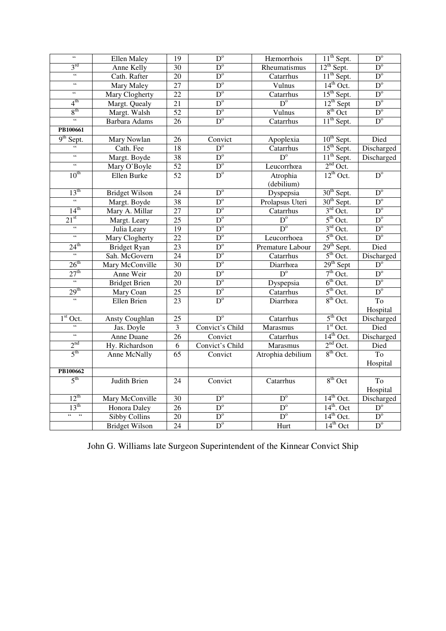| $\epsilon\epsilon$                           | Ellen Maley           | 19              | $D^{\circ}$            | Hæmorrhois        | $11th$ Sept.           | $D^{\circ}$               |
|----------------------------------------------|-----------------------|-----------------|------------------------|-------------------|------------------------|---------------------------|
| $3^{\text{rd}}$                              | Anne Kelly            | $\overline{30}$ | $D^{\circ}$            | Rheumatismus      | $12^{th}$ Sept.        | $D^{\circ}$               |
| $\boldsymbol{\zeta} \boldsymbol{\zeta}$      | Cath. Rafter          |                 | $D^{\circ}$            | Catarrhus         | $11th$ Sept.           | $D^{\circ}$               |
| $\zeta\zeta$                                 | <b>Mary Maley</b>     | $\overline{27}$ | $D^{\circ}$            | Vulnus            | $14th$ Oct.            | $D^{\circ}$               |
| $\zeta\,\zeta$                               | Mary Clogherty        | $\overline{22}$ | $D^{\circ}$            | Catarrhus         | $15th$ Sept.           | $D^{\circ}$               |
| $4^{\text{th}}$                              | Margt. Quealy         | 21              | $D^{\circ}$            | $D^{\circ}$       | $12^{th}$ Sept         | $D^{\circ}$               |
| 8 <sup>th</sup>                              | Margt. Walsh          | 52              | $D^{\circ}$            | Vulnus            | $8th$ Oct              | $D^{\circ}$               |
| 66                                           | <b>Barbara Adams</b>  | $\overline{26}$ | $D^{\circ}$            | Catarrhus         | $11th$ Sept.           | $D^{\circ}$               |
| PB100661                                     |                       |                 |                        |                   |                        |                           |
| $9th$ Sept.                                  | Mary Nowlan           | 26              | Convict                | Apoplexia         | $10th$ Sept.           | Died                      |
| $\zeta\,\zeta$                               | Cath. Fee             | 18              | $D^{\circ}$            | Catarrhus         | 15 <sup>th</sup> Sept. | Discharged                |
| $\zeta\,\zeta$                               | Margt. Boyde          | 38              | $D^{\circ}$            | $D^{\circ}$       | $11th$ Sept.           | Discharged                |
| $\boldsymbol{\zeta}$                         | Mary O'Boyle          | 52              | $D^{\circ}$            | Leucorrhœa        | $2nd$ Oct.             |                           |
| $10^{th}$                                    | Ellen Burke           | 52              | $D^{\circ}$            | Atrophia          | $12^{th}$ Oct.         | $D^{\circ}$               |
|                                              |                       |                 |                        | (debilium)        |                        |                           |
| 13 <sup>th</sup>                             | <b>Bridget Wilson</b> | $\overline{24}$ | $D^{\circ}$            | Dyspepsia         | 30 <sup>th</sup> Sept. | $D^{\circ}$               |
| $\mathcal{C}$                                | Margt. Boyde          | $\overline{38}$ | $\overline{D}^{\circ}$ | Prolapsus Uteri   | $30th$ Sept.           | $D^{\circ}$               |
| 14 <sup>th</sup>                             | Mary A. Millar        | 27              | $D^{\circ}$            | Catarrhus         | $3rd$ Oct.             | $\mathbf{D}^{\mathrm{o}}$ |
| 21 <sup>st</sup>                             | Margt. Leary          | $\overline{25}$ | $D^{\circ}$            | D <sup>o</sup>    | $5th$ Oct.             | $D^{\circ}$               |
| $\overline{\mathfrak{c}}$                    | Julia Leary           | $\overline{19}$ | $D^{\circ}$            | $D^{\circ}$       | $3rd$ Oct.             | $D^{\circ}$               |
| $\epsilon\epsilon$                           | Mary Clogherty        | $\overline{22}$ | $D^{\circ}$            | Leucorrhoea       | $5th$ Oct.             | $D^{\circ}$               |
| $24^{\text{th}}$                             | <b>Bridget Ryan</b>   | $\overline{23}$ | $D^{\circ}$            | Premature Labour  | $29th$ Sept.           | Died                      |
| $\boldsymbol{\epsilon}\boldsymbol{\epsilon}$ | Sah. McGovern         | 24              | $D^{\circ}$            | Catarrhus         | $5th$ Oct.             | Discharged                |
| 26 <sup>th</sup>                             | Mary McConville       | 30              | $D^{\circ}$            | Diarrhœa          | $29th$ Sept            | $D^{\circ}$               |
| 27 <sup>th</sup>                             | Anne Weir             | 20              | $D^{\circ}$            | $D^{\circ}$       | $7th$ Oct.             | $D^{\circ}$               |
|                                              | <b>Bridget Brien</b>  | $\overline{20}$ | $\overline{D^o}$       | Dyspepsia         | $6th$ Oct.             | $D^{\circ}$               |
| 29 <sup>th</sup>                             | Mary Coan             | $\overline{25}$ | $D^{\circ}$            | Catarrhus         | $5th$ Oct.             | $\mathbf{D}^{\mathrm{o}}$ |
| $\overline{66}$                              | Ellen Brien           | $\overline{23}$ | $D^{\circ}$            | Diarrhœa          | $8th$ Oct.             | T <sub>o</sub>            |
|                                              |                       |                 |                        |                   |                        | Hospital                  |
| $1st$ Oct.                                   | Ansty Coughlan        | 25              | $D^{\circ}$            | Catarrhus         | $5th$ Oct              | Discharged                |
| $\overline{66}$                              | Jas. Doyle            | 3               | Convict's Child        | Marasmus          | $1st$ Oct.             | Died                      |
| $\boldsymbol{\zeta} \boldsymbol{\zeta}$      | Anne Duane            | $\overline{26}$ | Convict                | Catarrhus         | $14^{th}$ Oct.         | Discharged                |
| 2 <sup>nd</sup>                              | Hy. Richardson        | 6               | Convict's Child        | Marasmus          | $2nd$ Oct.             | Died                      |
| 5 <sup>th</sup>                              | Anne McNally          | $\overline{65}$ | Convict                | Atrophia debilium | $8th$ Oct.             | T <sub>o</sub>            |
|                                              |                       |                 |                        |                   |                        | Hospital                  |
| PB100662                                     |                       |                 |                        |                   |                        |                           |
| 5 <sup>th</sup>                              | Judith Brien          | 24              | Convict                | Catarrhus         | $8th$ Oct              | T <sub>o</sub>            |
|                                              |                       |                 |                        |                   |                        | Hospital                  |
| $12^{th}$                                    | Mary McConville       | 30              | $\overline{D}^{\circ}$ | $\overline{D^o}$  | $14th$ Oct.            | Discharged                |
| 13 <sup>th</sup>                             | <b>Honora</b> Daley   | $\overline{26}$ | $\overline{D^o}$       | $D^{\circ}$       | $14th$ . Oct           | $D^{\circ}$               |
| $\sqrt{6}$<br>$\epsilon\,\epsilon$           | Sibby Collins         | $\overline{20}$ | $D^{\circ}$            | $D^{\circ}$       | $14th$ Oct.            | $D^{\circ}$               |
|                                              | <b>Bridget Wilson</b> | $\overline{24}$ | $D^{\circ}$            | Hurt              | $14th$ Oct             | $D^{\circ}$               |

John G. Williams late Surgeon Superintendent of the Kinnear Convict Ship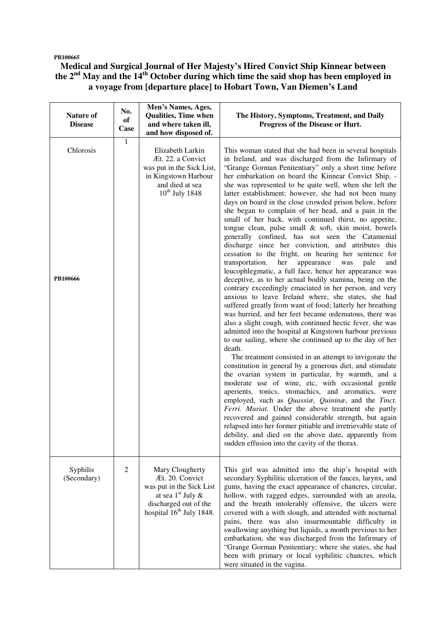#### **PB100665**

## **Medical and Surgical Journal of Her Majesty's Hired Convict Ship Kinnear between the 2nd May and the 14th October during which time the said shop has been employed in a voyage from [departure place] to Hobart Town, Van Diemen's Land**

| Nature of<br><b>Disease</b> | No.<br>of<br>Case | Men's Names, Ages,<br><b>Qualities, Time when</b><br>and where taken ill,<br>and how disposed of.                                                      | The History, Symptoms, Treatment, and Daily<br>Progress of the Disease or Hurt.                                                                                                                                                                                                                                                                                                                                                                                                                                                                                                                                                                                                                                                                                                                                                                                                                                                                                                                                                                                                                                                                                                                                                                                                                                                                                                                                                                                                                                                                                                                                                                                                                                                                                                                                                                                                                                                                                                                                                                  |
|-----------------------------|-------------------|--------------------------------------------------------------------------------------------------------------------------------------------------------|--------------------------------------------------------------------------------------------------------------------------------------------------------------------------------------------------------------------------------------------------------------------------------------------------------------------------------------------------------------------------------------------------------------------------------------------------------------------------------------------------------------------------------------------------------------------------------------------------------------------------------------------------------------------------------------------------------------------------------------------------------------------------------------------------------------------------------------------------------------------------------------------------------------------------------------------------------------------------------------------------------------------------------------------------------------------------------------------------------------------------------------------------------------------------------------------------------------------------------------------------------------------------------------------------------------------------------------------------------------------------------------------------------------------------------------------------------------------------------------------------------------------------------------------------------------------------------------------------------------------------------------------------------------------------------------------------------------------------------------------------------------------------------------------------------------------------------------------------------------------------------------------------------------------------------------------------------------------------------------------------------------------------------------------------|
| Chlorosis<br>PB100666       | $\mathbf{1}$      | Elizabeth Larkin<br>Æt. 22. a Convict<br>was put in the Sick List,<br>in Kingstown Harbour<br>and died at sea<br>$10^{th}$ July 1848                   | This woman stated that she had been in several hospitals<br>in Ireland, and was discharged from the Infirmary of<br>"Grange Gorman Penitentiary" only a short time before<br>her embarkation on board the Kinnear Convict Ship, -<br>she was represented to be quite well, when she left the<br>latter establishment; however, she had not been many<br>days on board in the close crowded prison below, before<br>she began to complain of her head, and a pain in the<br>small of her back, with continued thirst, no appetite,<br>tongue clean, pulse small & soft, skin moist, bowels<br>generally confined, has not seen the Catamenial<br>discharge since her conviction, and attributes this<br>cessation to the fright, on hearing her sentence for<br>transportation.<br>her<br>appearance<br>was<br>pale<br>and<br>leucophlegmatic, a full face, hence her appearance was<br>deceptive, as to her actual bodily stamina, being on the<br>contrary exceedingly emaciated in her person, and very<br>anxious to leave Ireland where, she states, she had<br>suffered greatly from want of food; latterly her breathing<br>was hurried, and her feet became œdematous, there was<br>also a slight cough, with continued hectic fever, she was<br>admitted into the hospital at Kingstown harbour previous<br>to our sailing, where she continued up to the day of her<br>death.<br>The treatment consisted in an attempt to invigorate the<br>constitution in general by a generous diet, and stimulate<br>the ovarian system in particular, by warmth, and a<br>moderate use of wine, etc, with occasional gentle<br>aperients, tonics, stomachics, and aromatics, were<br>employed, such as <i>Quassia</i> , <i>Quinina</i> , and the Tinct.<br>Ferri. Muriat. Under the above treatment she partly<br>recovered and gained considerable strength, but again<br>relapsed into her former pitiable and irretrievable state of<br>debility, and died on the above date, apparently from<br>sudden effusion into the cavity of the thorax. |
| Syphilis<br>(Secondary)     | 2                 | Mary Clougherty<br>Æt. 20. Convict<br>was put in the Sick List<br>at sea $1st$ July &<br>discharged out of the<br>hospital 16 <sup>th</sup> July 1848. | This girl was admitted into the ship's hospital with<br>secondary Syphilitic ulceration of the fauces, larynx, and<br>gums, having the exact appearance of chancres, circular,<br>hollow, with ragged edges, surrounded with an areola,<br>and the breath intolerably offensive, the ulcers were<br>covered with a with slough, and attended with nocturnal<br>pains, there was also insurmountable difficulty in<br>swallowing anything but liquids, a month previous to her<br>embarkation, she was discharged from the Infirmary of<br>"Grange Gorman Penitentiary; where she states, she had<br>been with primary or local syphilitic chancres, which<br>were situated in the vagina.                                                                                                                                                                                                                                                                                                                                                                                                                                                                                                                                                                                                                                                                                                                                                                                                                                                                                                                                                                                                                                                                                                                                                                                                                                                                                                                                                        |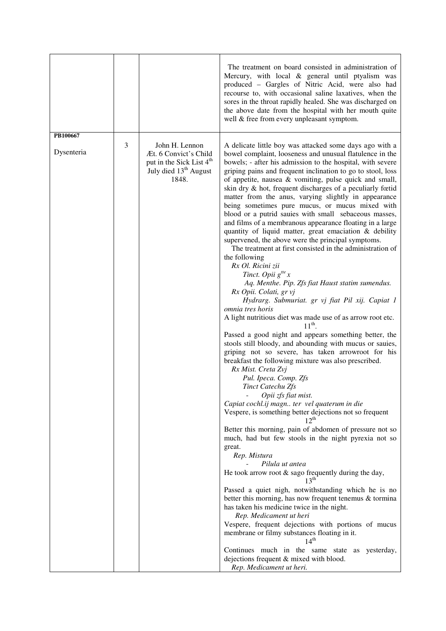|            |   |                                                                                                                               | The treatment on board consisted in administration of<br>Mercury, with local & general until ptyalism was<br>produced - Gargles of Nitric Acid, were also had<br>recourse to, with occasional saline laxatives, when the<br>sores in the throat rapidly healed. She was discharged on<br>the above date from the hospital with her mouth quite<br>well & free from every unpleasant symptom.                                                                                                                                                                                                                                                                                                                                                                                                                                                                                                                                                                                                                                                                                                                                                                                                                                                                                                                                                                                                                                                                                                                                                                                                                                                                                                                                                                                                                                                                                                                                                                                                                                                                                                                                                                                                             |
|------------|---|-------------------------------------------------------------------------------------------------------------------------------|----------------------------------------------------------------------------------------------------------------------------------------------------------------------------------------------------------------------------------------------------------------------------------------------------------------------------------------------------------------------------------------------------------------------------------------------------------------------------------------------------------------------------------------------------------------------------------------------------------------------------------------------------------------------------------------------------------------------------------------------------------------------------------------------------------------------------------------------------------------------------------------------------------------------------------------------------------------------------------------------------------------------------------------------------------------------------------------------------------------------------------------------------------------------------------------------------------------------------------------------------------------------------------------------------------------------------------------------------------------------------------------------------------------------------------------------------------------------------------------------------------------------------------------------------------------------------------------------------------------------------------------------------------------------------------------------------------------------------------------------------------------------------------------------------------------------------------------------------------------------------------------------------------------------------------------------------------------------------------------------------------------------------------------------------------------------------------------------------------------------------------------------------------------------------------------------------------|
| PB100667   |   |                                                                                                                               |                                                                                                                                                                                                                                                                                                                                                                                                                                                                                                                                                                                                                                                                                                                                                                                                                                                                                                                                                                                                                                                                                                                                                                                                                                                                                                                                                                                                                                                                                                                                                                                                                                                                                                                                                                                                                                                                                                                                                                                                                                                                                                                                                                                                          |
| Dysenteria | 3 | John H. Lennon<br>Æt. 6 Convict's Child<br>put in the Sick List 4 <sup>th</sup><br>July died 13 <sup>th</sup> August<br>1848. | A delicate little boy was attacked some days ago with a<br>bowel complaint, looseness and unusual flatulence in the<br>bowels; - after his admission to the hospital, with severe<br>griping pains and frequent inclination to go to stool, loss<br>of appetite, nausea & vomiting, pulse quick and small,<br>skin dry & hot, frequent discharges of a peculiarly fœtid<br>matter from the anus, varying slightly in appearance<br>being sometimes pure mucus, or mucus mixed with<br>blood or a putrid sauies with small sebaceous masses,<br>and films of a membranous appearance floating in a large<br>quantity of liquid matter, great emaciation & debility<br>supervened, the above were the principal symptoms.<br>The treatment at first consisted in the administration of<br>the following<br>Rx Ol. Ricini zii<br>Tinct. Opii $g^{tt}$ x<br>Aq. Menthe. Pip. Zfs fiat Haust statim sumendus.<br>Rx Opii. Colati, gr vj<br>Hydrarg. Submuriat. gr vj fiat Pil xij. Capiat 1<br>omnia tres horis<br>A light nutritious diet was made use of as arrow root etc.<br>$11^{th}$ .<br>Passed a good night and appears something better, the<br>stools still bloody, and abounding with mucus or sauies,<br>griping not so severe, has taken arrowroot for his<br>breakfast the following mixture was also prescribed.<br>Rx Mist. Creta Zvj<br>Pul. Ipeca. Comp. Zfs<br>Tinct Catechu Zfs<br>Opii zfs fiat mist.<br>Capiat cochl.ij magn ter vel quaterum in die<br>Vespere, is something better dejections not so frequent<br>$12^{th}$<br>Better this morning, pain of abdomen of pressure not so<br>much, had but few stools in the night pyrexia not so<br>great.<br>Rep. Mistura<br>Pilula ut antea<br>He took arrow root $\&$ sago frequently during the day,<br>13 <sup>th</sup><br>Passed a quiet nigh, notwithstanding which he is no<br>better this morning, has now frequent tenemus & tormina<br>has taken his medicine twice in the night.<br>Rep. Medicament ut heri<br>Vespere, frequent dejections with portions of mucus<br>membrane or filmy substances floating in it.<br>$14^{th}$<br>Continues much in the same state as yesterday,<br>dejections frequent & mixed with blood. |
|            |   |                                                                                                                               | Rep. Medicament ut heri.                                                                                                                                                                                                                                                                                                                                                                                                                                                                                                                                                                                                                                                                                                                                                                                                                                                                                                                                                                                                                                                                                                                                                                                                                                                                                                                                                                                                                                                                                                                                                                                                                                                                                                                                                                                                                                                                                                                                                                                                                                                                                                                                                                                 |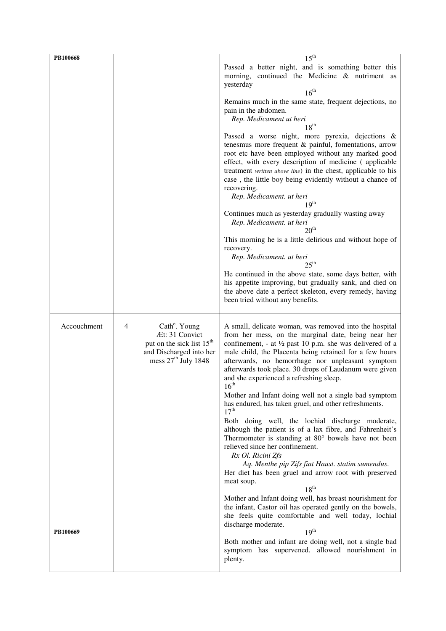| PB100668    |   |                                                                                                                                          | $15^{\text{th}}$                                                                                                                                                                                                                                                                                                                                                                                                             |
|-------------|---|------------------------------------------------------------------------------------------------------------------------------------------|------------------------------------------------------------------------------------------------------------------------------------------------------------------------------------------------------------------------------------------------------------------------------------------------------------------------------------------------------------------------------------------------------------------------------|
|             |   |                                                                                                                                          | Passed a better night, and is something better this<br>morning, continued the Medicine & nutriment as<br>yesterday                                                                                                                                                                                                                                                                                                           |
|             |   |                                                                                                                                          | 16 <sup>th</sup><br>Remains much in the same state, frequent dejections, no<br>pain in the abdomen.<br>Rep. Medicament ut heri<br>$18^{th}$                                                                                                                                                                                                                                                                                  |
|             |   |                                                                                                                                          | Passed a worse night, more pyrexia, dejections &<br>tenesmus more frequent & painful, fomentations, arrow<br>root etc have been employed without any marked good<br>effect, with every description of medicine (applicable<br>treatment written above line) in the chest, applicable to his<br>case, the little boy being evidently without a chance of<br>recovering.<br>Rep. Medicament. ut heri<br>19 <sup>th</sup>       |
|             |   |                                                                                                                                          | Continues much as yesterday gradually wasting away<br>Rep. Medicament. ut heri<br>20 <sup>th</sup>                                                                                                                                                                                                                                                                                                                           |
|             |   |                                                                                                                                          | This morning he is a little delirious and without hope of<br>recovery.<br>Rep. Medicament. ut heri                                                                                                                                                                                                                                                                                                                           |
|             |   |                                                                                                                                          | $25^{\text{th}}$<br>He continued in the above state, some days better, with<br>his appetite improving, but gradually sank, and died on<br>the above date a perfect skeleton, every remedy, having<br>been tried without any benefits.                                                                                                                                                                                        |
| Accouchment | 4 | Cath <sup>e</sup> . Young<br>Æt: 31 Convict<br>put on the sick list 15 <sup>th</sup><br>and Discharged into her<br>mess $27th$ July 1848 | A small, delicate woman, was removed into the hospital<br>from her mess, on the marginal date, being near her<br>confinement, - at $\frac{1}{2}$ past 10 p.m. she was delivered of a<br>male child, the Placenta being retained for a few hours<br>afterwards, no hemorrhage nor unpleasant symptom<br>afterwards took place. 30 drops of Laudanum were given<br>and she experienced a refreshing sleep.<br>16 <sup>th</sup> |
|             |   |                                                                                                                                          | Mother and Infant doing well not a single bad symptom<br>has endured, has taken gruel, and other refreshments.<br>17 <sup>th</sup><br>Both doing well, the lochial discharge moderate,<br>although the patient is of a lax fibre, and Fahrenheit's<br>Thermometer is standing at 80° bowels have not been<br>relieved since her confinement.                                                                                 |
|             |   |                                                                                                                                          | Rx Ol. Ricini Zfs<br>Aq. Menthe pip Zifs fiat Haust. statim sumendus.<br>Her diet has been gruel and arrow root with preserved<br>meat soup.<br>$18^{\text{th}}$                                                                                                                                                                                                                                                             |
| PB100669    |   |                                                                                                                                          | Mother and Infant doing well, has breast nourishment for<br>the infant, Castor oil has operated gently on the bowels,<br>she feels quite comfortable and well today, lochial<br>discharge moderate.<br>19 <sup>th</sup>                                                                                                                                                                                                      |
|             |   |                                                                                                                                          | Both mother and infant are doing well, not a single bad<br>symptom has supervened. allowed nourishment in<br>plenty.                                                                                                                                                                                                                                                                                                         |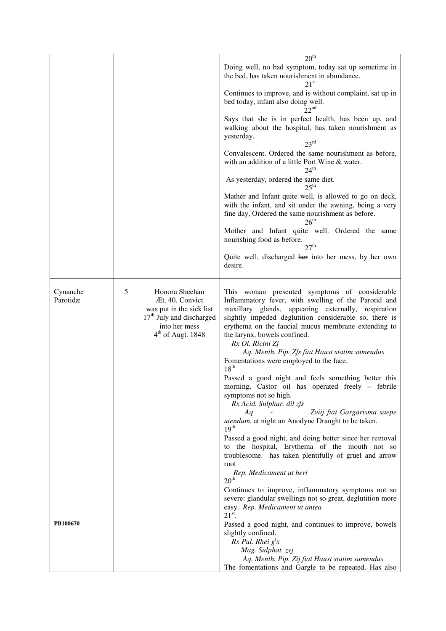|                      |   |                                                                                                                                                         | 20 <sup>th</sup>                                                                                                                                                                                                                                                                                                                  |
|----------------------|---|---------------------------------------------------------------------------------------------------------------------------------------------------------|-----------------------------------------------------------------------------------------------------------------------------------------------------------------------------------------------------------------------------------------------------------------------------------------------------------------------------------|
|                      |   |                                                                                                                                                         | Doing well, no bad symptom, today sat up sometime in<br>the bed, has taken nourishment in abundance.<br>$21^{\rm st}$                                                                                                                                                                                                             |
|                      |   |                                                                                                                                                         | Continues to improve, and is without complaint, sat up in<br>bed today, infant also doing well.<br>22 <sup>nd</sup>                                                                                                                                                                                                               |
|                      |   |                                                                                                                                                         | Says that she is in perfect health, has been up, and<br>walking about the hospital, has taken nourishment as<br>yesterday.<br>23 <sup>rd</sup>                                                                                                                                                                                    |
|                      |   |                                                                                                                                                         | Convalescent. Ordered the same nourishment as before,<br>with an addition of a little Port Wine & water.<br>$24^{\text{th}}$                                                                                                                                                                                                      |
|                      |   |                                                                                                                                                         | As yesterday, ordered the same diet.<br>$25^{\text{th}}$                                                                                                                                                                                                                                                                          |
|                      |   |                                                                                                                                                         | Mather and Infant quite well, is allowed to go on deck,<br>with the infant, and sit under the awning, being a very<br>fine day, Ordered the same nourishment as before.<br>$26^{\text{th}}$                                                                                                                                       |
|                      |   |                                                                                                                                                         | Mother and Infant quite well. Ordered the same<br>nourishing food as before.<br>27 <sup>th</sup>                                                                                                                                                                                                                                  |
|                      |   |                                                                                                                                                         | Quite well, discharged her into her mess, by her own<br>desire.                                                                                                                                                                                                                                                                   |
| Cynanche<br>Parotidæ | 5 | Honora Sheehan<br>Æt. 40. Convict<br>was put in the sick list<br>17 <sup>th</sup> July and discharged<br>into her mess<br>4 <sup>th</sup> of Augt. 1848 | This woman presented symptoms of considerable<br>Inflammatory fever, with swelling of the Parotid and<br>maxillary glands, appearing externally, respiration<br>slightly impeded deglutition considerable so, there is<br>erythema on the faucial mucus membrane extending to<br>the larynx, bowels confined.<br>Rx Ol. Ricini Zj |
|                      |   |                                                                                                                                                         | Aq. Menth. Pip. Zfs fiat Haust statim sumendus<br>Fomentations were employed to the face.<br>18 <sup>th</sup>                                                                                                                                                                                                                     |
|                      |   |                                                                                                                                                         | Passed a good night and feels something better this<br>morning, Castor oil has operated freely - febrile<br>symptoms not so high.<br>Rx Acid. Sulphur. dil zfs                                                                                                                                                                    |
|                      |   |                                                                                                                                                         | Aq<br>Zviij fiat Gargarisma saepe<br>utendum. at night an Anodyne Draught to be taken.<br>19 <sup>th</sup>                                                                                                                                                                                                                        |
|                      |   |                                                                                                                                                         | Passed a good night, and doing better since her removal<br>to the hospital, Erythema of the mouth not so<br>troublesome. has taken plentifully of gruel and arrow<br>root                                                                                                                                                         |
|                      |   |                                                                                                                                                         | Rep. Medicament ut heri<br>$20^{\rm th}$                                                                                                                                                                                                                                                                                          |
|                      |   |                                                                                                                                                         | Continues to improve, inflammatory symptoms not so<br>severe: glandular swellings not so great, deglutition more<br>easy. Rep. Medicament ut antea<br>$21st$ .                                                                                                                                                                    |
| PB100670             |   |                                                                                                                                                         | Passed a good night, and continues to improve, bowels<br>slightly confined.<br>$Rx$ Pul. Rhei $g'x$                                                                                                                                                                                                                               |
|                      |   |                                                                                                                                                         | Mag. Sulphat. zvj<br>Aq. Menth. Pip. Zij fiat Haust statim sumendus<br>The fomentations and Gargle to be repeated. Has also                                                                                                                                                                                                       |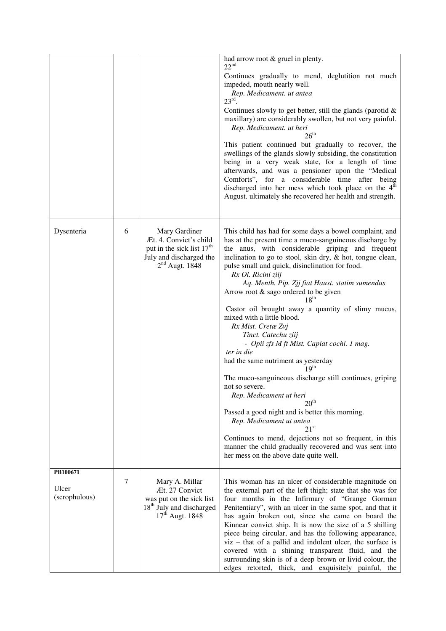|                                    |   |                                                                                                                                 | had arrow root & gruel in plenty.<br>22 <sup>nd</sup><br>Continues gradually to mend, deglutition not much<br>impeded, mouth nearly well.<br>Rep. Medicament. ut antea<br>23 <sup>rd</sup><br>Continues slowly to get better, still the glands (parotid $\&$<br>maxillary) are considerably swollen, but not very painful.<br>Rep. Medicament. ut heri<br>$26^{\text{th}}$<br>This patient continued but gradually to recover, the<br>swellings of the glands slowly subsiding, the constitution<br>being in a very weak state, for a length of time<br>afterwards, and was a pensioner upon the "Medical<br>Comforts", for a considerable time<br>after being<br>discharged into her mess which took place on the 4 <sup>th</sup><br>August. ultimately she recovered her health and strength.                                                                                                                                                                                                                                                                             |
|------------------------------------|---|---------------------------------------------------------------------------------------------------------------------------------|-----------------------------------------------------------------------------------------------------------------------------------------------------------------------------------------------------------------------------------------------------------------------------------------------------------------------------------------------------------------------------------------------------------------------------------------------------------------------------------------------------------------------------------------------------------------------------------------------------------------------------------------------------------------------------------------------------------------------------------------------------------------------------------------------------------------------------------------------------------------------------------------------------------------------------------------------------------------------------------------------------------------------------------------------------------------------------|
| Dysenteria                         | 6 | Mary Gardiner<br>Æt. 4. Convict's child<br>put in the sick list 17 <sup>th</sup><br>July and discharged the<br>$2nd$ Augt. 1848 | This child has had for some days a bowel complaint, and<br>has at the present time a muco-sanguineous discharge by<br>the anus, with considerable griping and frequent<br>inclination to go to stool, skin dry, & hot, tongue clean,<br>pulse small and quick, disinclination for food.<br>Rx Ol. Ricini ziij<br>Aq. Menth. Pip. Zjj fiat Haust. statim sumendus<br>Arrow root & sago ordered to be given<br>$18^{th}$<br>Castor oil brought away a quantity of slimy mucus,<br>mixed with a little blood.<br>Rx Mist. Cretæ Zvj<br>Tinct. Catechu ziij<br>- Opii zfs M ft Mist. Capiat cochl. 1 mag.<br>ter in die<br>had the same nutriment as yesterday<br>19 <sup>th</sup><br>The muco-sanguineous discharge still continues, griping<br>not so severe.<br>Rep. Medicament ut heri<br>20 <sup>th</sup><br>Passed a good night and is better this morning.<br>Rep. Medicament ut antea<br>21 <sup>st</sup><br>Continues to mend, dejections not so frequent, in this<br>manner the child gradually recovered and was sent into<br>her mess on the above date quite well. |
| PB100671<br>Ulcer<br>(scrophulous) | 7 | Mary A. Millar<br>Æt. 27 Convict<br>was put on the sick list<br>18 <sup>th</sup> July and discharged<br>$17th$ Augt. 1848       | This woman has an ulcer of considerable magnitude on<br>the external part of the left thigh; state that she was for<br>four months in the Infirmary of "Grange Gorman<br>Penitentiary", with an ulcer in the same spot, and that it<br>has again broken out, since she came on board the<br>Kinnear convict ship. It is now the size of a 5 shilling<br>piece being circular, and has the following appearance,<br>$viz$ – that of a pallid and indolent ulcer, the surface is<br>covered with a shining transparent fluid, and the<br>surrounding skin is of a deep brown or livid colour, the<br>edges retorted, thick, and exquisitely painful, the                                                                                                                                                                                                                                                                                                                                                                                                                      |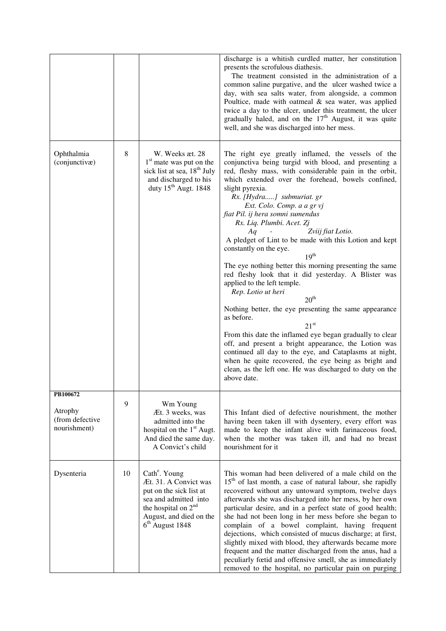|                                                        |    |                                                                                                                                                                                                     | discharge is a whitish curdled matter, her constitution<br>presents the scrofulous diathesis.<br>The treatment consisted in the administration of a<br>common saline purgative, and the ulcer washed twice a<br>day, with sea salts water, from alongside, a common<br>Poultice, made with oatmeal $\&$ sea water, was applied<br>twice a day to the ulcer, under this treatment, the ulcer<br>gradually haled, and on the $17th$ August, it was quite<br>well, and she was discharged into her mess.                                                                                                                                                                                                                                                                                                                                                                                                                                                                                                                                                                                                                  |
|--------------------------------------------------------|----|-----------------------------------------------------------------------------------------------------------------------------------------------------------------------------------------------------|------------------------------------------------------------------------------------------------------------------------------------------------------------------------------------------------------------------------------------------------------------------------------------------------------------------------------------------------------------------------------------------------------------------------------------------------------------------------------------------------------------------------------------------------------------------------------------------------------------------------------------------------------------------------------------------------------------------------------------------------------------------------------------------------------------------------------------------------------------------------------------------------------------------------------------------------------------------------------------------------------------------------------------------------------------------------------------------------------------------------|
| Ophthalmia<br>(conjunctivæ)                            | 8  | W. Weeks æt. 28<br>1 <sup>st</sup> mate was put on the<br>sick list at sea, 18 <sup>th</sup> July<br>and discharged to his<br>duty 15 <sup>th</sup> Augt. 1848                                      | The right eye greatly inflamed, the vessels of the<br>conjunctiva being turgid with blood, and presenting a<br>red, fleshy mass, with considerable pain in the orbit,<br>which extended over the forehead, bowels confined,<br>slight pyrexia.<br>Rx. [Hydra] submuriat. gr<br>Ext. Colo. Comp. a a gr vj<br>fiat Pil. ij hera somni sumendus<br>Rx. Liq. Plumbi. Acet. Zj<br>Zviij fiat Lotio.<br>Aq<br>A pledget of Lint to be made with this Lotion and kept<br>constantly on the eye.<br>19 <sup>th</sup><br>The eye nothing better this morning presenting the same<br>red fleshy look that it did yesterday. A Blister was<br>applied to the left temple.<br>Rep. Lotio ut heri<br>20 <sup>th</sup><br>Nothing better, the eye presenting the same appearance<br>as before.<br>21 <sup>st</sup><br>From this date the inflamed eye began gradually to clear<br>off, and present a bright appearance, the Lotion was<br>continued all day to the eye, and Cataplasms at night,<br>when he quite recovered, the eye being as bright and<br>clean, as the left one. He was discharged to duty on the<br>above date. |
| PB100672<br>Atrophy<br>(from defective<br>nourishment) | 9  | Wm Young<br>Æt. 3 weeks, was<br>admitted into the<br>hospital on the 1 <sup>st</sup> Augt.<br>And died the same day.<br>A Convict's child                                                           | This Infant died of defective nourishment, the mother<br>having been taken ill with dysentery, every effort was<br>made to keep the infant alive with farinaceous food,<br>when the mother was taken ill, and had no breast<br>nourishment for it                                                                                                                                                                                                                                                                                                                                                                                                                                                                                                                                                                                                                                                                                                                                                                                                                                                                      |
| Dysenteria                                             | 10 | Cath <sup>e</sup> . Young<br>Æt. 31. A Convict was<br>put on the sick list at<br>sea and admitted into<br>the hospital on 2 <sup>nd</sup><br>August, and died on the<br>6 <sup>th</sup> August 1848 | This woman had been delivered of a male child on the<br>$15th$ of last month, a case of natural labour, she rapidly<br>recovered without any untoward symptom, twelve days<br>afterwards she was discharged into her mess, by her own<br>particular desire, and in a perfect state of good health;<br>she had not been long in her mess before she began to<br>complain of a bowel complaint, having frequent<br>dejections, which consisted of mucus discharge; at first,<br>slightly mixed with blood, they afterwards became more<br>frequent and the matter discharged from the anus, had a<br>peculiarly fœtid and offensive smell, she as immediately<br>removed to the hospital, no particular pain on purging                                                                                                                                                                                                                                                                                                                                                                                                  |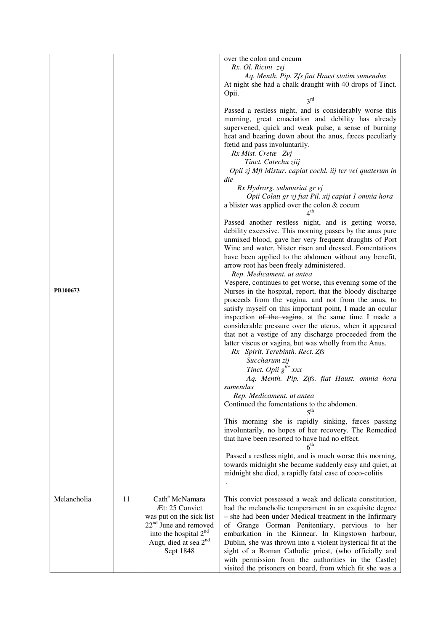|             |    |                                                                                                                                                                                            | over the colon and cocum<br>Rx. Ol. Ricini zvj<br>Aq. Menth. Pip. Zfs fiat Haust statim sumendus<br>At night she had a chalk draught with 40 drops of Tinct.<br>Opii.<br>$3^{rd}$<br>Passed a restless night, and is considerably worse this<br>morning, great emaciation and debility has already<br>supervened, quick and weak pulse, a sense of burning<br>heat and bearing down about the anus, faces peculiarly<br>fœtid and pass involuntarily.<br>Rx Mist. Cretæ Zvj<br>Tinct. Catechu ziij |
|-------------|----|--------------------------------------------------------------------------------------------------------------------------------------------------------------------------------------------|----------------------------------------------------------------------------------------------------------------------------------------------------------------------------------------------------------------------------------------------------------------------------------------------------------------------------------------------------------------------------------------------------------------------------------------------------------------------------------------------------|
|             |    |                                                                                                                                                                                            | Opii zj Mft Mistur. capiat cochl. iij ter vel quaterum in<br>die<br>Rx Hydrarg. submuriat gr vj<br>Opii Colati gr vj fiat Pil. xij capiat 1 omnia hora<br>a blister was applied over the colon & cocum<br>4 <sup>th</sup>                                                                                                                                                                                                                                                                          |
|             |    |                                                                                                                                                                                            | Passed another restless night, and is getting worse,<br>debility excessive. This morning passes by the anus pure<br>unmixed blood, gave her very frequent draughts of Port<br>Wine and water, blister risen and dressed. Fomentations<br>have been applied to the abdomen without any benefit,<br>arrow root has been freely administered.<br>Rep. Medicament. ut antea<br>Vespere, continues to get worse, this evening some of the                                                               |
| PB100673    |    |                                                                                                                                                                                            | Nurses in the hospital, report, that the bloody discharge<br>proceeds from the vagina, and not from the anus, to<br>satisfy myself on this important point, I made an ocular<br>inspection of the vagina, at the same time I made a<br>considerable pressure over the uterus, when it appeared<br>that not a vestige of any discharge proceeded from the<br>latter viscus or vagina, but was wholly from the Anus.<br>Rx Spirit. Terebinth. Rect. Zfs                                              |
|             |    |                                                                                                                                                                                            | Succharum zij<br>Tinct. Opii g <sup>tte</sup> xxx<br>Aq. Menth. Pip. Zifs. fiat Haust. omnia hora<br>sumendus                                                                                                                                                                                                                                                                                                                                                                                      |
|             |    |                                                                                                                                                                                            | Rep. Medicament. ut antea<br>Continued the fomentations to the abdomen.                                                                                                                                                                                                                                                                                                                                                                                                                            |
|             |    |                                                                                                                                                                                            | $\varsigma^{\mathrm{th}}$<br>This morning she is rapidly sinking, faces passing<br>involuntarily, no hopes of her recovery. The Remedied<br>that have been resorted to have had no effect.<br>$6^{\rm th}$                                                                                                                                                                                                                                                                                         |
|             |    |                                                                                                                                                                                            | Passed a restless night, and is much worse this morning,<br>towards midnight she became suddenly easy and quiet, at<br>midnight she died, a rapidly fatal case of coco-colitis                                                                                                                                                                                                                                                                                                                     |
| Melancholia | 11 | Cath <sup>e</sup> McNamara<br>Æt: 25 Convict<br>was put on the sick list<br>$22nd$ June and removed<br>into the hospital 2 <sup>nd</sup><br>Augt, died at sea 2 <sup>nd</sup><br>Sept 1848 | This convict possessed a weak and delicate constitution,<br>had the melancholic temperament in an exquisite degree<br>- she had been under Medical treatment in the Infirmary<br>of Grange Gorman Penitentiary, pervious to her<br>embarkation in the Kinnear. In Kingstown harbour,<br>Dublin, she was thrown into a violent hysterical fit at the<br>sight of a Roman Catholic priest, (who officially and<br>with permission from the authorities in the Castle)                                |
|             |    |                                                                                                                                                                                            | visited the prisoners on board, from which fit she was a                                                                                                                                                                                                                                                                                                                                                                                                                                           |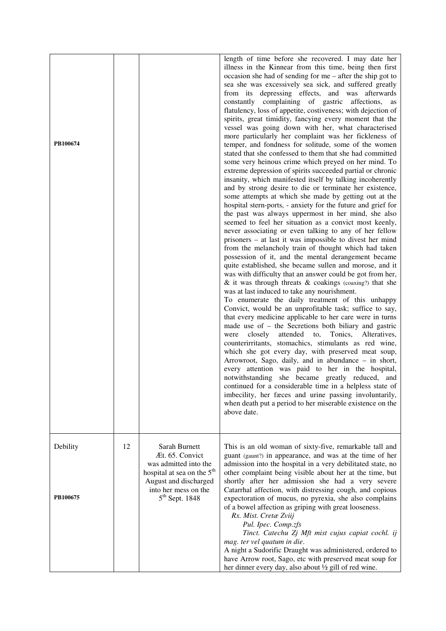| PB100674             |    |                                                                                                                                                                          | length of time before she recovered. I may date her<br>illness in the Kinnear from this time, being then first<br>occasion she had of sending for $me$ – after the ship got to<br>sea she was excessively sea sick, and suffered greatly<br>from its depressing effects, and was afterwards<br>constantly complaining of gastric affections,<br>as<br>flatulency, loss of appetite, costiveness; with dejection of<br>spirits, great timidity, fancying every moment that the<br>vessel was going down with her, what characterised<br>more particularly her complaint was her fickleness of<br>temper, and fondness for solitude, some of the women<br>stated that she confessed to them that she had committed<br>some very heinous crime which preyed on her mind. To<br>extreme depression of spirits succeeded partial or chronic<br>insanity, which manifested itself by talking incoherently<br>and by strong desire to die or terminate her existence,<br>some attempts at which she made by getting out at the<br>hospital stern-ports, - anxiety for the future and grief for<br>the past was always uppermost in her mind, she also<br>seemed to feel her situation as a convict most keenly,<br>never associating or even talking to any of her fellow<br>prisoners – at last it was impossible to divest her mind<br>from the melancholy train of thought which had taken<br>possession of it, and the mental derangement became<br>quite established, she became sullen and morose, and it<br>was with difficulty that an answer could be got from her,<br>$\&$ it was through threats $\&$ coakings (coaxing?) that she<br>was at last induced to take any nourishment.<br>To enumerate the daily treatment of this unhappy<br>Convict, would be an unprofitable task; suffice to say,<br>that every medicine applicable to her care were in turns<br>made use of $-$ the Secretions both biliary and gastric<br>Tonics, Alteratives,<br>closely<br>attended to,<br>were<br>counterirritants, stomachics, stimulants as red wine,<br>which she got every day, with preserved meat soup,<br>Arrowroot, Sago, daily, and in abundance - in short,<br>every attention was paid to her in the hospital,<br>notwithstanding she became greatly reduced, and<br>continued for a considerable time in a helpless state of<br>imbecility, her faces and urine passing involuntarily,<br>when death put a period to her miserable existence on the<br>above date. |
|----------------------|----|--------------------------------------------------------------------------------------------------------------------------------------------------------------------------|-------------------------------------------------------------------------------------------------------------------------------------------------------------------------------------------------------------------------------------------------------------------------------------------------------------------------------------------------------------------------------------------------------------------------------------------------------------------------------------------------------------------------------------------------------------------------------------------------------------------------------------------------------------------------------------------------------------------------------------------------------------------------------------------------------------------------------------------------------------------------------------------------------------------------------------------------------------------------------------------------------------------------------------------------------------------------------------------------------------------------------------------------------------------------------------------------------------------------------------------------------------------------------------------------------------------------------------------------------------------------------------------------------------------------------------------------------------------------------------------------------------------------------------------------------------------------------------------------------------------------------------------------------------------------------------------------------------------------------------------------------------------------------------------------------------------------------------------------------------------------------------------------------------------------------------------------------------------------------------------------------------------------------------------------------------------------------------------------------------------------------------------------------------------------------------------------------------------------------------------------------------------------------------------------------------------------------------------------------------------------------------------------------------------------------------------------------------------------|
| Debility<br>PB100675 | 12 | Sarah Burnett<br>Æt. 65. Convict<br>was admitted into the<br>hospital at sea on the 5 <sup>th</sup><br>August and discharged<br>into her mess on the<br>$5th$ Sept. 1848 | This is an old woman of sixty-five, remarkable tall and<br>guant (gaunt?) in appearance, and was at the time of her<br>admission into the hospital in a very debilitated state, no<br>other complaint being visible about her at the time, but<br>shortly after her admission she had a very severe<br>Catarrhal affection, with distressing cough, and copious<br>expectoration of mucus, no pyrexia, she also complains<br>of a bowel affection as griping with great looseness.<br>Rx. Mist. Cretæ Zviij<br>Pul. Ipec. Comp.zfs<br>Tinct. Catechu Zj Mft mist cujus capiat cochl. ij<br>mag. ter vel quatum in die.                                                                                                                                                                                                                                                                                                                                                                                                                                                                                                                                                                                                                                                                                                                                                                                                                                                                                                                                                                                                                                                                                                                                                                                                                                                                                                                                                                                                                                                                                                                                                                                                                                                                                                                                                                                                                                                  |
|                      |    |                                                                                                                                                                          | A night a Sudorific Draught was administered, ordered to<br>have Arrow root, Sago, etc with preserved meat soup for<br>her dinner every day, also about 1/2 gill of red wine.                                                                                                                                                                                                                                                                                                                                                                                                                                                                                                                                                                                                                                                                                                                                                                                                                                                                                                                                                                                                                                                                                                                                                                                                                                                                                                                                                                                                                                                                                                                                                                                                                                                                                                                                                                                                                                                                                                                                                                                                                                                                                                                                                                                                                                                                                           |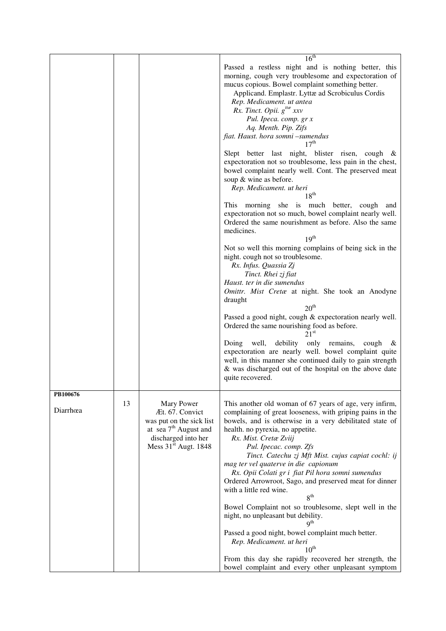|                      |    |                                                                                                                                                 | 16 <sup>th</sup><br>Passed a restless night and is nothing better, this<br>morning, cough very troublesome and expectoration of<br>mucus copious. Bowel complaint something better.<br>Applicand. Emplastr. Lyttæ ad Scrobiculus Cordis<br>Rep. Medicament. ut antea<br>Rx. Tinct. Opii. $g^{tt\alpha}$ xxv<br>Pul. Ipeca. comp. gr x<br>Aq. Menth. Pip. Zifs<br>fiat. Haust. hora somni -sumendus<br>17 <sup>th</sup><br>Slept better last night, blister risen, cough &<br>expectoration not so troublesome, less pain in the chest,<br>bowel complaint nearly well. Cont. The preserved meat<br>soup & wine as before.<br>Rep. Medicament. ut heri<br>$18^{th}$<br>This morning she is much better, cough<br>and<br>expectoration not so much, bowel complaint nearly well.<br>Ordered the same nourishment as before. Also the same<br>medicines.<br>19 <sup>th</sup><br>Not so well this morning complains of being sick in the<br>night. cough not so troublesome.<br>Rx. Infus. Quassia Zj<br>Tinct. Rhei zj fiat<br>Haust. ter in die sumendus<br>Omittr. Mist Cretæ at night. She took an Anodyne<br>draught<br>20 <sup>th</sup><br>Passed a good night, cough & expectoration nearly well.<br>Ordered the same nourishing food as before.<br>21 <sup>st</sup><br>debility<br>only<br>well,<br>Doing<br>remains,<br>cough<br>&<br>expectoration are nearly well. bowel complaint quite<br>well, in this manner she continued daily to gain strength<br>& was discharged out of the hospital on the above date<br>quite recovered. |
|----------------------|----|-------------------------------------------------------------------------------------------------------------------------------------------------|--------------------------------------------------------------------------------------------------------------------------------------------------------------------------------------------------------------------------------------------------------------------------------------------------------------------------------------------------------------------------------------------------------------------------------------------------------------------------------------------------------------------------------------------------------------------------------------------------------------------------------------------------------------------------------------------------------------------------------------------------------------------------------------------------------------------------------------------------------------------------------------------------------------------------------------------------------------------------------------------------------------------------------------------------------------------------------------------------------------------------------------------------------------------------------------------------------------------------------------------------------------------------------------------------------------------------------------------------------------------------------------------------------------------------------------------------------------------------------------------------------------------------------------------|
| PB100676<br>Diarrhœa | 13 | Mary Power<br>Æt. 67. Convict<br>was put on the sick list<br>at sea $7th$ August and<br>discharged into her<br>Mess 31 <sup>st</sup> Augt. 1848 | This another old woman of 67 years of age, very infirm,<br>complaining of great looseness, with griping pains in the<br>bowels, and is otherwise in a very debilitated state of<br>health. no pyrexia, no appetite.<br>Rx. Mist. Cretæ Zviij<br>Pul. Ipecac. comp. Zfs<br>Tinct. Catechu zj Mft Mist. cujus capiat cochl: ij<br>mag ter vel quaterve in die capionum<br>Rx. Opii Colati gr i fiat Pil hora somni sumendus<br>Ordered Arrowroot, Sago, and preserved meat for dinner<br>with a little red wine.<br>8 <sup>th</sup><br>Bowel Complaint not so troublesome, slept well in the<br>night, no unpleasant but debility.<br>9 <sup>th</sup><br>Passed a good night, bowel complaint much better.<br>Rep. Medicament. ut heri<br>$10^{\text{th}}$<br>From this day she rapidly recovered her strength, the<br>bowel complaint and every other unpleasant symptom                                                                                                                                                                                                                                                                                                                                                                                                                                                                                                                                                                                                                                                                    |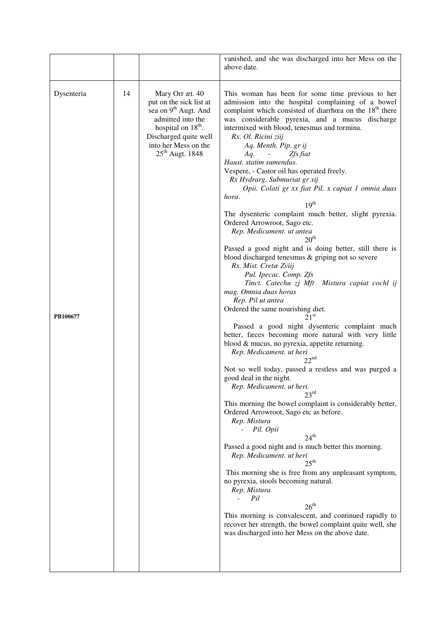|                        |    |                                                                                                                                                                                                                       | vanished, and she was discharged into her Mess on the<br>above date.                                                                                                                                                                                                                                                                                                                                                                                                                                                                                                                                                                                                                                                                                                                                                                                                                                                                                                                                                                                                                                                                                                                                                                                                                                                                                                                                                                                                                                                                                                                                                                                                                                                                                                                                                                                                                                                                                               |
|------------------------|----|-----------------------------------------------------------------------------------------------------------------------------------------------------------------------------------------------------------------------|--------------------------------------------------------------------------------------------------------------------------------------------------------------------------------------------------------------------------------------------------------------------------------------------------------------------------------------------------------------------------------------------------------------------------------------------------------------------------------------------------------------------------------------------------------------------------------------------------------------------------------------------------------------------------------------------------------------------------------------------------------------------------------------------------------------------------------------------------------------------------------------------------------------------------------------------------------------------------------------------------------------------------------------------------------------------------------------------------------------------------------------------------------------------------------------------------------------------------------------------------------------------------------------------------------------------------------------------------------------------------------------------------------------------------------------------------------------------------------------------------------------------------------------------------------------------------------------------------------------------------------------------------------------------------------------------------------------------------------------------------------------------------------------------------------------------------------------------------------------------------------------------------------------------------------------------------------------------|
| Dysenteria<br>PB100677 | 14 | Mary Orr æt. 40<br>put on the sick list at<br>sea on 9 <sup>th</sup> Augt. And<br>admitted into the<br>hospital on 18 <sup>th</sup> .<br>Discharged quite well<br>into her Mess on the<br>$25^{\text{th}}$ Augt. 1848 | This woman has been for some time previous to her<br>admission into the hospital complaining of a bowel<br>complaint which consisted of diarrhoea on the 18 <sup>th</sup> there<br>was considerable pyrexia, and a mucus discharge<br>intermixed with blood, tenesmus and tormina.<br>Rx. Ol. Ricini ziij<br>Aq. Menth. Pip. gr ij<br>Zfs fiat<br>Aq.<br>$\sim 100$<br>Haust. statim sumendus.<br>Vespere, - Castor oil has operated freely.<br>Rx Hydrarg. Submuriat gr xij<br>Opii. Colati gr xx fiat Pil. x capiat 1 omnia duas<br>hora.<br>$19^{th}$<br>The dysenteric complaint much better, slight pyrexia.<br>Ordered Arrowroot, Sago etc.<br>Rep. Medicament. ut antea<br>20 <sup>th</sup><br>Passed a good night and is doing better, still there is<br>blood discharged tenesmus & griping not so severe<br>Rx. Mist. Cretæ Zviij<br>Pul. Ipecac. Comp. Zfs<br>Tinct. Catechu zj Mft Mistura capiat cochl ij<br>mag. Omnia duas horas<br>Rep. Pil ut antea<br>Ordered the same nourishing diet.<br>21 <sup>st</sup><br>Passed a good night dysenteric complaint much<br>better, faces becoming more natural with very little<br>blood & mucus, no pyrexia, appetite returning.<br>Rep. Medicament. ut heri<br>22 <sup>nd</sup><br>Not so well today, passed a restless and was purged a<br>good deal in the night.<br>Rep. Medicament. ut heri.<br>23 <sup>rd</sup><br>This morning the bowel complaint is considerably better,<br>Ordered Arrowroot, Sago etc as before.<br>Rep. Mistura<br>Pil. Opii<br>$24^{\text{th}}$<br>Passed a good night and is much better this morning.<br>Rep. Medicament. ut heri<br>$25^{\text{th}}$<br>This morning she is free from any unpleasant symptom,<br>no pyrexia, stools becoming natural.<br>Rep. Mistura<br>Pil<br>$26^{\text{th}}$<br>This morning is convalescent, and continued rapidly to<br>recover her strength, the bowel complaint quite well, she<br>was discharged into her Mess on the above date. |
|                        |    |                                                                                                                                                                                                                       |                                                                                                                                                                                                                                                                                                                                                                                                                                                                                                                                                                                                                                                                                                                                                                                                                                                                                                                                                                                                                                                                                                                                                                                                                                                                                                                                                                                                                                                                                                                                                                                                                                                                                                                                                                                                                                                                                                                                                                    |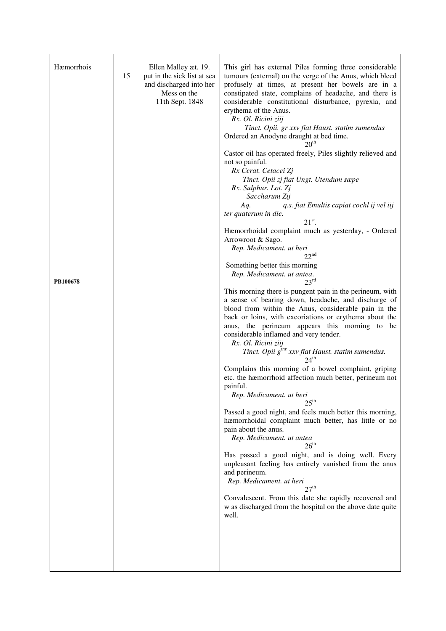| Hæmorrhois<br>PB100678 | 15 | Ellen Malley æt. 19.<br>put in the sick list at sea<br>and discharged into her<br>Mess on the<br>11th Sept. 1848 | This girl has external Piles forming three considerable<br>tumours (external) on the verge of the Anus, which bleed<br>profusely at times, at present her bowels are in a<br>constipated state, complains of headache, and there is<br>considerable constitutional disturbance, pyrexia, and<br>erythema of the Anus.<br>Rx. Ol. Ricini ziij<br>Tinct. Opii. gr xxv fiat Haust. statim sumendus<br>Ordered an Anodyne draught at bed time.<br>20 <sup>th</sup><br>Castor oil has operated freely, Piles slightly relieved and<br>not so painful.<br>Rx Cerat. Cetacei Zj<br>Tinct. Opii zj fiat Ungt. Utendum sæpe<br>Rx. Sulphur. Lot. Zj<br>Saccharum Zij<br>q.s. fiat Emultis capiat cochl ij vel iij<br>Aq.<br>ter quaterum in die.<br>$21st$ .<br>Hæmorrhoidal complaint much as yesterday, - Ordered<br>Arrowroot & Sago.<br>Rep. Medicament. ut heri<br>$22^{\text{nd}}$<br>Something better this morning<br>Rep. Medicament. ut antea.<br>23 <sup>rd</sup><br>This morning there is pungent pain in the perineum, with<br>a sense of bearing down, headache, and discharge of<br>blood from within the Anus, considerable pain in the<br>back or loins, with excoriations or erythema about the<br>anus, the perineum appears this morning to<br>be<br>considerable inflamed and very tender.<br>Rx. Ol. Ricini ziij<br>Tinct. Opii g <sup>ttæ</sup> xxv fiat Haust. statim sumendus.<br>24 <sup>th</sup><br>Complains this morning of a bowel complaint, griping<br>etc. the hæmorrhoid affection much better, perineum not<br>painful.<br>Rep. Medicament. ut heri<br>25 <sup>th</sup><br>Passed a good night, and feels much better this morning,<br>hæmorrhoidal complaint much better, has little or no<br>pain about the anus.<br>Rep. Medicament. ut antea |
|------------------------|----|------------------------------------------------------------------------------------------------------------------|---------------------------------------------------------------------------------------------------------------------------------------------------------------------------------------------------------------------------------------------------------------------------------------------------------------------------------------------------------------------------------------------------------------------------------------------------------------------------------------------------------------------------------------------------------------------------------------------------------------------------------------------------------------------------------------------------------------------------------------------------------------------------------------------------------------------------------------------------------------------------------------------------------------------------------------------------------------------------------------------------------------------------------------------------------------------------------------------------------------------------------------------------------------------------------------------------------------------------------------------------------------------------------------------------------------------------------------------------------------------------------------------------------------------------------------------------------------------------------------------------------------------------------------------------------------------------------------------------------------------------------------------------------------------------------------------------------------------------------------------------------------------------|
|                        |    |                                                                                                                  | $26^{th}$                                                                                                                                                                                                                                                                                                                                                                                                                                                                                                                                                                                                                                                                                                                                                                                                                                                                                                                                                                                                                                                                                                                                                                                                                                                                                                                                                                                                                                                                                                                                                                                                                                                                                                                                                                 |
|                        |    |                                                                                                                  | Has passed a good night, and is doing well. Every<br>unpleasant feeling has entirely vanished from the anus<br>and perineum.<br>Rep. Medicament. ut heri<br>27 <sup>th</sup>                                                                                                                                                                                                                                                                                                                                                                                                                                                                                                                                                                                                                                                                                                                                                                                                                                                                                                                                                                                                                                                                                                                                                                                                                                                                                                                                                                                                                                                                                                                                                                                              |
|                        |    |                                                                                                                  | Convalescent. From this date she rapidly recovered and<br>w as discharged from the hospital on the above date quite<br>well.                                                                                                                                                                                                                                                                                                                                                                                                                                                                                                                                                                                                                                                                                                                                                                                                                                                                                                                                                                                                                                                                                                                                                                                                                                                                                                                                                                                                                                                                                                                                                                                                                                              |
|                        |    |                                                                                                                  |                                                                                                                                                                                                                                                                                                                                                                                                                                                                                                                                                                                                                                                                                                                                                                                                                                                                                                                                                                                                                                                                                                                                                                                                                                                                                                                                                                                                                                                                                                                                                                                                                                                                                                                                                                           |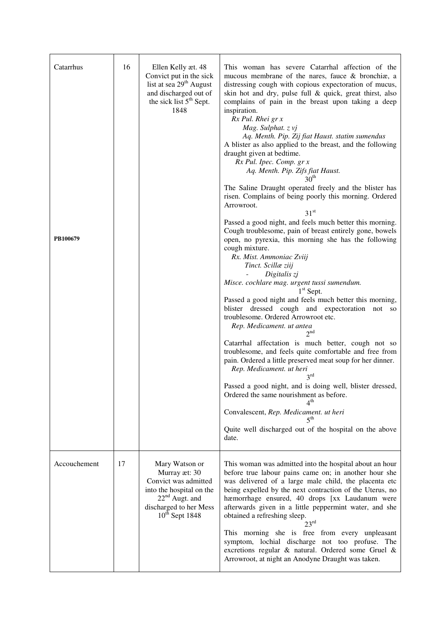| Catarrhus    | 16 | Ellen Kelly æt. 48<br>Convict put in the sick<br>list at sea 29 <sup>th</sup> August<br>and discharged out of<br>the sick list 5 <sup>th</sup> Sept.<br>1848 | This woman has severe Catarrhal affection of the<br>mucous membrane of the nares, fauce & bronchiæ, a<br>distressing cough with copious expectoration of mucus,<br>skin hot and dry, pulse full & quick, great thirst, also<br>complains of pain in the breast upon taking a deep<br>inspiration.<br>Rx Pul. Rhei gr x<br>Mag. Sulphat. z vj<br>Aq. Menth. Pip. Zij fiat Haust. statim sumendus<br>A blister as also applied to the breast, and the following<br>draught given at bedtime.<br>Rx Pul. Ipec. Comp. gr x<br>Aq. Menth. Pip. Zifs fiat Haust. |
|--------------|----|--------------------------------------------------------------------------------------------------------------------------------------------------------------|------------------------------------------------------------------------------------------------------------------------------------------------------------------------------------------------------------------------------------------------------------------------------------------------------------------------------------------------------------------------------------------------------------------------------------------------------------------------------------------------------------------------------------------------------------|
|              |    |                                                                                                                                                              | 30 <sup>th</sup><br>The Saline Draught operated freely and the blister has<br>risen. Complains of being poorly this morning. Ordered<br>Arrowroot.<br>$31^{\rm st}$<br>Passed a good night, and feels much better this morning.<br>Cough troublesome, pain of breast entirely gone, bowels                                                                                                                                                                                                                                                                 |
| PB100679     |    |                                                                                                                                                              | open, no pyrexia, this morning she has the following<br>cough mixture.<br>Rx. Mist. Ammoniac Zviij<br>Tinct. Scillæ ziij<br>Digitalis zj<br>Misce. cochlare mag. urgent tussi sumendum.                                                                                                                                                                                                                                                                                                                                                                    |
|              |    |                                                                                                                                                              | $1st$ Sept.<br>Passed a good night and feels much better this morning,<br>blister dressed cough and expectoration not so<br>troublesome. Ordered Arrowroot etc.<br>Rep. Medicament. ut antea<br>2 <sup>nd</sup>                                                                                                                                                                                                                                                                                                                                            |
|              |    |                                                                                                                                                              | Catarrhal affectation is much better, cough not so<br>troublesome, and feels quite comfortable and free from<br>pain. Ordered a little preserved meat soup for her dinner.<br>Rep. Medicament. ut heri<br>$3^{\text{rd}}$                                                                                                                                                                                                                                                                                                                                  |
|              |    |                                                                                                                                                              | Passed a good night, and is doing well, blister dressed,<br>Ordered the same nourishment as before.<br>4 <sup>th</sup>                                                                                                                                                                                                                                                                                                                                                                                                                                     |
|              |    |                                                                                                                                                              | Convalescent, Rep. Medicament. ut heri<br>$5$ <sup>th</sup>                                                                                                                                                                                                                                                                                                                                                                                                                                                                                                |
|              |    |                                                                                                                                                              | Quite well discharged out of the hospital on the above<br>date.                                                                                                                                                                                                                                                                                                                                                                                                                                                                                            |
| Accouchement | 17 | Mary Watson or<br>Murray æt: 30<br>Convict was admitted<br>into the hospital on the<br>$22nd$ Augt. and<br>discharged to her Mess<br>$10^{th}$ Sept 1848     | This woman was admitted into the hospital about an hour<br>before true labour pains came on; in another hour she<br>was delivered of a large male child, the placenta etc<br>being expelled by the next contraction of the Uterus, no<br>hæmorrhage ensured, 40 drops [xx Laudanum were<br>afterwards given in a little peppermint water, and she<br>obtained a refreshing sleep.<br>23 <sup>rd</sup>                                                                                                                                                      |
|              |    |                                                                                                                                                              | This morning she is free from every unpleasant<br>symptom, lochial discharge not too profuse. The<br>excretions regular & natural. Ordered some Gruel &<br>Arrowroot, at night an Anodyne Draught was taken.                                                                                                                                                                                                                                                                                                                                               |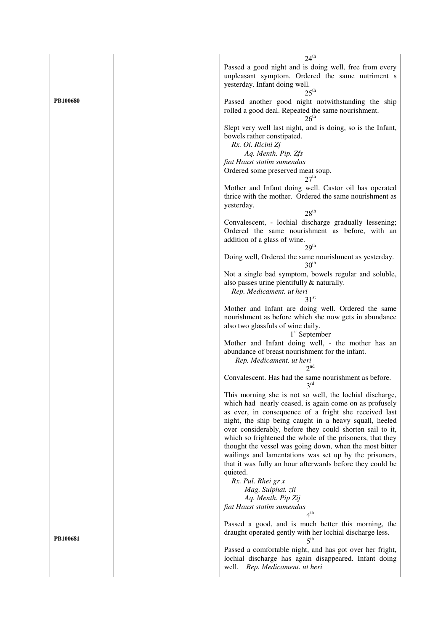|                 | 24 <sup>th</sup>                                                                                                                                                                                                                                                                                                                                                                                                                                                                   |
|-----------------|------------------------------------------------------------------------------------------------------------------------------------------------------------------------------------------------------------------------------------------------------------------------------------------------------------------------------------------------------------------------------------------------------------------------------------------------------------------------------------|
|                 | Passed a good night and is doing well, free from every<br>unpleasant symptom. Ordered the same nutriment s<br>yesterday. Infant doing well.<br>$25^{\text{th}}$                                                                                                                                                                                                                                                                                                                    |
| <b>PB100680</b> | Passed another good night notwithstanding the ship<br>rolled a good deal. Repeated the same nourishment.<br>$26^{\text{th}}$                                                                                                                                                                                                                                                                                                                                                       |
|                 | Slept very well last night, and is doing, so is the Infant,<br>bowels rather constipated.<br>Rx. Ol. Ricini Zj<br>Aq. Menth. Pip. Zfs<br>fiat Haust statim sumendus<br>Ordered some preserved meat soup.                                                                                                                                                                                                                                                                           |
|                 | 27 <sup>th</sup><br>Mother and Infant doing well. Castor oil has operated<br>thrice with the mother. Ordered the same nourishment as<br>yesterday.<br>$28^{th}$                                                                                                                                                                                                                                                                                                                    |
|                 | Convalescent, - lochial discharge gradually lessening;<br>Ordered the same nourishment as before, with an<br>addition of a glass of wine.<br>29 <sup>th</sup>                                                                                                                                                                                                                                                                                                                      |
|                 | Doing well, Ordered the same nourishment as yesterday.<br>30 <sup>th</sup>                                                                                                                                                                                                                                                                                                                                                                                                         |
|                 | Not a single bad symptom, bowels regular and soluble,<br>also passes urine plentifully & naturally.<br>Rep. Medicament. ut heri<br>31 <sup>st</sup>                                                                                                                                                                                                                                                                                                                                |
|                 | Mother and Infant are doing well. Ordered the same<br>nourishment as before which she now gets in abundance<br>also two glassfuls of wine daily.<br>$1st$ September                                                                                                                                                                                                                                                                                                                |
|                 | Mother and Infant doing well, - the mother has an<br>abundance of breast nourishment for the infant.<br>Rep. Medicament. ut heri<br>2 <sup>nd</sup>                                                                                                                                                                                                                                                                                                                                |
|                 | Convalescent. Has had the same nourishment as before.<br>$3^{\text{rd}}$                                                                                                                                                                                                                                                                                                                                                                                                           |
|                 | This morning she is not so well, the lochial discharge,<br>which had nearly ceased, is again come on as profusely<br>as ever, in consequence of a fright she received last<br>night, the ship being caught in a heavy squall, heeled<br>over considerably, before they could shorten sail to it,<br>which so frightened the whole of the prisoners, that they<br>thought the vessel was going down, when the most bitter<br>wailings and lamentations was set up by the prisoners, |
|                 | that it was fully an hour afterwards before they could be<br>quieted.<br>Rx. Pul. Rhei gr x<br>Mag. Sulphat. zii<br>Aq. Menth. Pip Zij<br>fiat Haust statim sumendus                                                                                                                                                                                                                                                                                                               |
|                 | 4 <sup>th</sup><br>Passed a good, and is much better this morning, the<br>draught operated gently with her lochial discharge less.                                                                                                                                                                                                                                                                                                                                                 |
| PB100681        | 5 <sup>th</sup><br>Passed a comfortable night, and has got over her fright,<br>lochial discharge has again disappeared. Infant doing<br>Rep. Medicament. ut heri<br>well.                                                                                                                                                                                                                                                                                                          |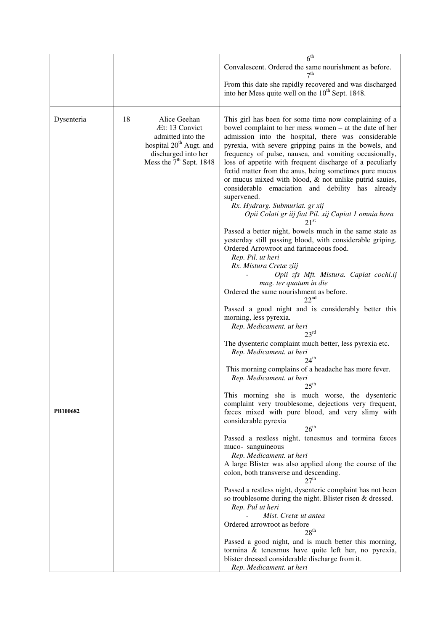|            |    |                                                                                                                                                | 6 <sup>th</sup>                                                                                                                                                                                                                                                                                                                                                                                                                                                                                                                                                                                                                                             |
|------------|----|------------------------------------------------------------------------------------------------------------------------------------------------|-------------------------------------------------------------------------------------------------------------------------------------------------------------------------------------------------------------------------------------------------------------------------------------------------------------------------------------------------------------------------------------------------------------------------------------------------------------------------------------------------------------------------------------------------------------------------------------------------------------------------------------------------------------|
|            |    |                                                                                                                                                | Convalescent. Ordered the same nourishment as before.<br>7 <sup>th</sup><br>From this date she rapidly recovered and was discharged                                                                                                                                                                                                                                                                                                                                                                                                                                                                                                                         |
|            |    |                                                                                                                                                | into her Mess quite well on the 10 <sup>th</sup> Sept. 1848.                                                                                                                                                                                                                                                                                                                                                                                                                                                                                                                                                                                                |
| Dysenteria | 18 | Alice Geehan<br>Æt: 13 Convict<br>admitted into the<br>hospital 20 <sup>th</sup> Augt. and<br>discharged into her<br>Mess the $7th$ Sept. 1848 | This girl has been for some time now complaining of a<br>bowel complaint to her mess women – at the date of her<br>admission into the hospital, there was considerable<br>pyrexia, with severe gripping pains in the bowels, and<br>frequency of pulse, nausea, and vomiting occasionally,<br>loss of appetite with frequent discharge of a peculiarly<br>fœtid matter from the anus, being sometimes pure mucus<br>or mucus mixed with blood, & not unlike putrid saules,<br>considerable emaciation and debility has already<br>supervened.<br>Rx. Hydrarg. Submuriat. gr xij<br>Opii Colati gr iij fiat Pil. xij Capiat 1 omnia hora<br>21 <sup>st</sup> |
|            |    |                                                                                                                                                | Passed a better night, bowels much in the same state as<br>yesterday still passing blood, with considerable griping.<br>Ordered Arrowroot and farinaceous food.<br>Rep. Pil. ut heri<br>Rx. Mistura Cretæ ziij<br>Opii zfs Mft. Mistura. Capiat cochl.ij                                                                                                                                                                                                                                                                                                                                                                                                    |
|            |    |                                                                                                                                                | mag. ter quatum in die<br>Ordered the same nourishment as before.<br>22 <sup>nd</sup>                                                                                                                                                                                                                                                                                                                                                                                                                                                                                                                                                                       |
|            |    |                                                                                                                                                | Passed a good night and is considerably better this<br>morning, less pyrexia.<br>Rep. Medicament. ut heri<br>$23^{\text{rd}}$                                                                                                                                                                                                                                                                                                                                                                                                                                                                                                                               |
|            |    |                                                                                                                                                | The dysenteric complaint much better, less pyrexia etc.<br>Rep. Medicament. ut heri<br>$24^{\text{th}}$                                                                                                                                                                                                                                                                                                                                                                                                                                                                                                                                                     |
|            |    |                                                                                                                                                | This morning complains of a headache has more fever.<br>Rep. Medicament. ut heri<br>$25^{\text{th}}$                                                                                                                                                                                                                                                                                                                                                                                                                                                                                                                                                        |
| PB100682   |    |                                                                                                                                                | This morning she is much worse, the dysenteric<br>complaint very troublesome, dejections very frequent,<br>faces mixed with pure blood, and very slimy with<br>considerable pyrexia<br>26 <sup>th</sup>                                                                                                                                                                                                                                                                                                                                                                                                                                                     |
|            |    |                                                                                                                                                | Passed a restless night, tenesmus and tormina faces<br>muco-sanguineous<br>Rep. Medicament. ut heri<br>A large Blister was also applied along the course of the                                                                                                                                                                                                                                                                                                                                                                                                                                                                                             |
|            |    |                                                                                                                                                | colon, both transverse and descending.<br>27 <sup>th</sup>                                                                                                                                                                                                                                                                                                                                                                                                                                                                                                                                                                                                  |
|            |    |                                                                                                                                                | Passed a restless night, dysenteric complaint has not been<br>so troublesome during the night. Blister risen & dressed.<br>Rep. Pul ut heri<br>Mist. Cretæ ut antea                                                                                                                                                                                                                                                                                                                                                                                                                                                                                         |
|            |    |                                                                                                                                                | Ordered arrowroot as before<br>28 <sup>th</sup>                                                                                                                                                                                                                                                                                                                                                                                                                                                                                                                                                                                                             |
|            |    |                                                                                                                                                | Passed a good night, and is much better this morning,<br>tormina & tenesmus have quite left her, no pyrexia,<br>blister dressed considerable discharge from it.<br>Rep. Medicament. ut heri                                                                                                                                                                                                                                                                                                                                                                                                                                                                 |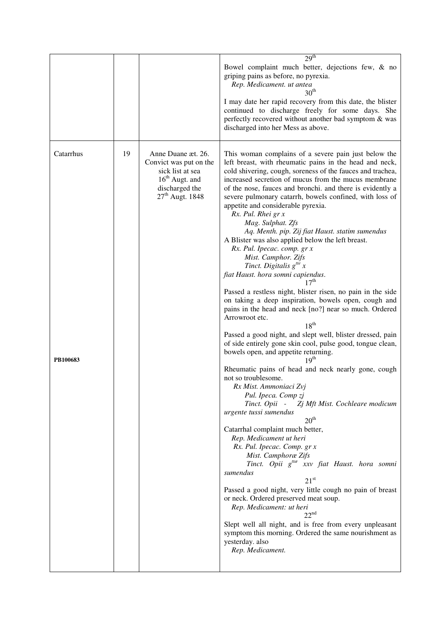|                       |    |                                                                                                                             | 29 <sup>th</sup>                                                                                                                                                                                                                                                                                                                                                                                                                                                                                                                                                                                                                                                                                                                                                                                                                                                                                                                                                                                                                                                                                                                                                                                                                                                                                                                                                                                                                                                                                                                                                                                                                                                                                                                                                                                                                                                      |
|-----------------------|----|-----------------------------------------------------------------------------------------------------------------------------|-----------------------------------------------------------------------------------------------------------------------------------------------------------------------------------------------------------------------------------------------------------------------------------------------------------------------------------------------------------------------------------------------------------------------------------------------------------------------------------------------------------------------------------------------------------------------------------------------------------------------------------------------------------------------------------------------------------------------------------------------------------------------------------------------------------------------------------------------------------------------------------------------------------------------------------------------------------------------------------------------------------------------------------------------------------------------------------------------------------------------------------------------------------------------------------------------------------------------------------------------------------------------------------------------------------------------------------------------------------------------------------------------------------------------------------------------------------------------------------------------------------------------------------------------------------------------------------------------------------------------------------------------------------------------------------------------------------------------------------------------------------------------------------------------------------------------------------------------------------------------|
|                       |    |                                                                                                                             | Bowel complaint much better, dejections few, & no<br>griping pains as before, no pyrexia.<br>Rep. Medicament. ut antea<br>30 <sup>th</sup><br>I may date her rapid recovery from this date, the blister<br>continued to discharge freely for some days. She<br>perfectly recovered without another bad symptom & was<br>discharged into her Mess as above.                                                                                                                                                                                                                                                                                                                                                                                                                                                                                                                                                                                                                                                                                                                                                                                                                                                                                                                                                                                                                                                                                                                                                                                                                                                                                                                                                                                                                                                                                                            |
| Catarrhus<br>PB100683 | 19 | Anne Duane æt. 26.<br>Convict was put on the<br>sick list at sea<br>$16th$ Augt. and<br>discharged the<br>$27th$ Augt. 1848 | This woman complains of a severe pain just below the<br>left breast, with rheumatic pains in the head and neck,<br>cold shivering, cough, soreness of the fauces and trachea,<br>increased secretion of mucus from the mucus membrane<br>of the nose, fauces and bronchi. and there is evidently a<br>severe pulmonary catarrh, bowels confined, with loss of<br>appetite and considerable pyrexia.<br>Rx. Pul. Rhei gr x<br>Mag. Sulphat. Zfs<br>Aq. Menth. pip. Zij fiat Haust. statim sumendus<br>A Blister was also applied below the left breast.<br>Rx. Pul. Ipecac. comp. gr x<br>Mist. Camphor. Zifs<br>Tinct. Digitalis $g^{tt}$ x<br>fiat Haust. hora somni capiendus.<br>17 <sup>th</sup><br>Passed a restless night, blister risen, no pain in the side<br>on taking a deep inspiration, bowels open, cough and<br>pains in the head and neck [no?] near so much. Ordered<br>Arrowroot etc.<br>$18^{th}$<br>Passed a good night, and slept well, blister dressed, pain<br>of side entirely gone skin cool, pulse good, tongue clean,<br>bowels open, and appetite returning.<br>19 <sup>th</sup><br>Rheumatic pains of head and neck nearly gone, cough<br>not so troublesome.<br>Rx Mist. Ammoniaci Zvj<br>Pul. Ipeca. Comp zj<br>Tinct. Opii -<br>Zj Mft Mist. Cochleare modicum<br>urgente tussi sumendus<br>20 <sup>th</sup><br>Catarrhal complaint much better,<br>Rep. Medicament ut heri<br>Rx. Pul. Ipecac. Comp. gr x<br>Mist. Camphoræ Zifs<br>Tinct. Opii g <sup>ttæ</sup> xxv fiat Haust. hora somni<br>sumendus<br>21 <sup>st</sup><br>Passed a good night, very little cough no pain of breast<br>or neck. Ordered preserved meat soup.<br>Rep. Medicament: ut heri<br>$22^{nd}$<br>Slept well all night, and is free from every unpleasant<br>symptom this morning. Ordered the same nourishment as<br>yesterday. also<br>Rep. Medicament. |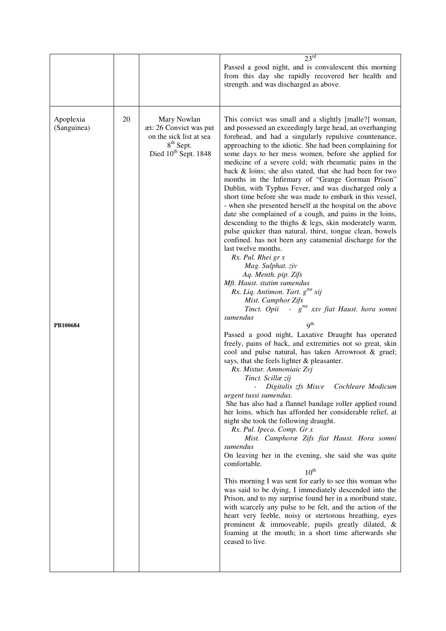|                                      |    |                                                                                                                        | 23 <sup>rd</sup>                                                                                                                                                                                                                                                                                                                                                                                                                                                                                                                                                                                                                                                                                                                                                                                                                                                                                                                                                                                                                                                                                                                                                                                                                                                                                                                                                                                                                                                                                                                                                                                                                                                                                                                                                                                                                                                                                                                                                                                                                                                                                                                                                                                                                                                                                                                       |
|--------------------------------------|----|------------------------------------------------------------------------------------------------------------------------|----------------------------------------------------------------------------------------------------------------------------------------------------------------------------------------------------------------------------------------------------------------------------------------------------------------------------------------------------------------------------------------------------------------------------------------------------------------------------------------------------------------------------------------------------------------------------------------------------------------------------------------------------------------------------------------------------------------------------------------------------------------------------------------------------------------------------------------------------------------------------------------------------------------------------------------------------------------------------------------------------------------------------------------------------------------------------------------------------------------------------------------------------------------------------------------------------------------------------------------------------------------------------------------------------------------------------------------------------------------------------------------------------------------------------------------------------------------------------------------------------------------------------------------------------------------------------------------------------------------------------------------------------------------------------------------------------------------------------------------------------------------------------------------------------------------------------------------------------------------------------------------------------------------------------------------------------------------------------------------------------------------------------------------------------------------------------------------------------------------------------------------------------------------------------------------------------------------------------------------------------------------------------------------------------------------------------------------|
|                                      |    |                                                                                                                        | Passed a good night, and is convalescent this morning<br>from this day she rapidly recovered her health and<br>strength. and was discharged as above.                                                                                                                                                                                                                                                                                                                                                                                                                                                                                                                                                                                                                                                                                                                                                                                                                                                                                                                                                                                                                                                                                                                                                                                                                                                                                                                                                                                                                                                                                                                                                                                                                                                                                                                                                                                                                                                                                                                                                                                                                                                                                                                                                                                  |
| Apoplexia<br>(Sanguinea)<br>PB100684 | 20 | Mary Nowlan<br>æt: 26 Convict was put<br>on the sick list at sea<br>8 <sup>th</sup> Sept.<br>Died $10^{th}$ Sept. 1848 | This convict was small and a slightly [malle?] woman,<br>and possessed an exceedingly large head, an overhanging<br>forehead, and had a singularly repulsive countenance,<br>approaching to the idiotic. She had been complaining for<br>some days to her mess women, before she applied for<br>medicine of a severe cold; with rheumatic pains in the<br>back $\&$ loins; she also stated, that she had been for two<br>months in the Infirmary of "Grange Gorman Prison"<br>Dublin, with Typhus Fever, and was discharged only a<br>short time before she was made to embark in this vessel,<br>- when she presented herself at the hospital on the above<br>date she complained of a cough, and pains in the loins,<br>descending to the thighs & legs, skin moderately warm,<br>pulse quicker than natural, thirst, tongue clean, bowels<br>confined. has not been any catamenial discharge for the<br>last twelve months.<br>Rx. Pul. Rhei gr x<br>Mag. Sulphat. ziv<br>Aq. Menth. pip. Zifs<br>Mft. Haust. statim sumendus<br>Rx. Liq. Antimon. Tart. g <sup>ttæ</sup> xij<br>Mist. Camphor Zifs<br>Tinct. Opii - $g^{tte}$ xxv fiat Haust. hora somni<br>sumendus<br>9 <sup>th</sup><br>Passed a good night, Laxative Draught has operated<br>freely, pains of back, and extremities not so great, skin<br>cool and pulse natural, has taken Arrowroot & gruel;<br>says, that she feels lighter & pleasanter.<br>Rx. Mistur. Ammoniaic Zvj<br>Tinct. Scillæ zij<br>- Digitalis zfs Misce<br>Cochleare Modicum<br>urgent tussi sumendus.<br>She has also had a flannel bandage roller applied round<br>her loins, which has afforded her considerable relief, at<br>night she took the following draught.<br>Rx. Pul. Ipeca. Comp. Gr x<br>Mist. Camphoræ Zifs fiat Haust. Hora somni<br>sumendus<br>On leaving her in the evening, she said she was quite<br>comfortable.<br>$10^{th}$<br>This morning I was sent for early to see this woman who<br>was said to be dying, I immediately descended into the<br>Prison, and to my surprise found her in a moribund state,<br>with scarcely any pulse to be felt, and the action of the<br>heart very feeble, noisy or stertorous breathing, eyes<br>prominent & immoveable, pupils greatly dilated, &<br>foaming at the mouth; in a short time afterwards she<br>ceased to live. |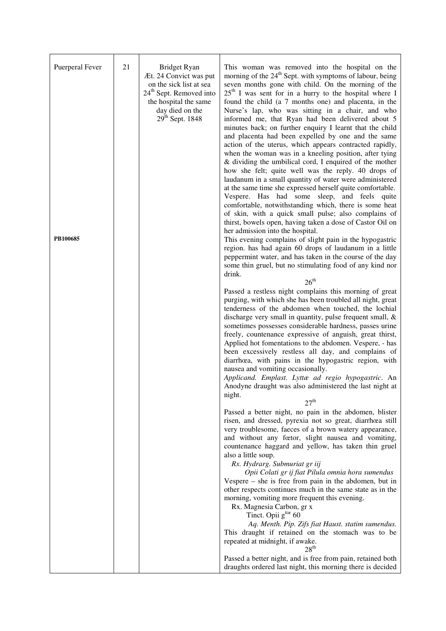| Puerperal Fever<br>PB100685 | 21 | Bridget Ryan<br>Æt. 24 Convict was put<br>on the sick list at sea<br>24 <sup>th</sup> Sept. Removed into<br>the hospital the same<br>day died on the<br>$29th$ Sept. 1848 | This woman was removed into the hospital on the<br>morning of the 24 <sup>th</sup> Sept. with symptoms of labour, being<br>seven months gone with child. On the morning of the<br>$25th$ I was sent for in a hurry to the hospital where I<br>found the child (a 7 months one) and placenta, in the<br>Nurse's lap, who was sitting in a chair, and who<br>informed me, that Ryan had been delivered about 5<br>minutes back; on further enquiry I learnt that the child<br>and placenta had been expelled by one and the same<br>action of the uterus, which appears contracted rapidly,<br>when the woman was in a kneeling position, after tying<br>& dividing the umbilical cord, I enquired of the mother<br>how she felt; quite well was the reply. 40 drops of<br>laudanum in a small quantity of water were administered<br>at the same time she expressed herself quite comfortable.<br>Vespere. Has had some sleep, and feels quite<br>comfortable, notwithstanding which, there is some heat<br>of skin, with a quick small pulse; also complains of<br>thirst, bowels open, having taken a dose of Castor Oil on<br>her admission into the hospital.<br>This evening complains of slight pain in the hypogastric<br>region. has had again 60 drops of laudanum in a little<br>peppermint water, and has taken in the course of the day<br>some thin gruel, but no stimulating food of any kind nor<br>drink.<br>26 <sup>th</sup><br>Passed a restless night complains this morning of great<br>purging, with which she has been troubled all night, great |
|-----------------------------|----|---------------------------------------------------------------------------------------------------------------------------------------------------------------------------|-----------------------------------------------------------------------------------------------------------------------------------------------------------------------------------------------------------------------------------------------------------------------------------------------------------------------------------------------------------------------------------------------------------------------------------------------------------------------------------------------------------------------------------------------------------------------------------------------------------------------------------------------------------------------------------------------------------------------------------------------------------------------------------------------------------------------------------------------------------------------------------------------------------------------------------------------------------------------------------------------------------------------------------------------------------------------------------------------------------------------------------------------------------------------------------------------------------------------------------------------------------------------------------------------------------------------------------------------------------------------------------------------------------------------------------------------------------------------------------------------------------------------------------------------------------------------|
|                             |    |                                                                                                                                                                           | tenderness of the abdomen when touched, the lochial<br>discharge very small in quantity, pulse frequent small, &<br>sometimes possesses considerable hardness, passes urine<br>freely, countenance expressive of anguish, great thirst,<br>Applied hot fomentations to the abdomen. Vespere, - has<br>been excessively restless all day, and complains of<br>diarrhœa, with pains in the hypogastric region, with<br>nausea and vomiting occasionally.<br>Applicand. Emplast. Lyttæ ad regio hypogastric. An<br>Anodyne draught was also administered the last night at<br>night.<br>27 <sup>th</sup>                                                                                                                                                                                                                                                                                                                                                                                                                                                                                                                                                                                                                                                                                                                                                                                                                                                                                                                                                                 |
|                             |    |                                                                                                                                                                           | Passed a better night, no pain in the abdomen, blister<br>risen, and dressed, pyrexia not so great, diarrhœa still<br>very troublesome, faeces of a brown watery appearance,<br>and without any fœtor, slight nausea and vomiting,<br>countenance haggard and yellow, has taken thin gruel<br>also a little soup.<br>Rx. Hydrarg. Submuriat gr iij                                                                                                                                                                                                                                                                                                                                                                                                                                                                                                                                                                                                                                                                                                                                                                                                                                                                                                                                                                                                                                                                                                                                                                                                                    |
|                             |    |                                                                                                                                                                           | Opii Colati gr ij fiat Pilula omnia hora sumendus<br>Vespere $-$ she is free from pain in the abdomen, but in<br>other respects continues much in the same state as in the<br>morning, vomiting more frequent this evening.<br>Rx. Magnesia Carbon, gr x<br>Tinct. Opii g <sup>ttæ</sup> 60<br>Aq. Menth. Pip. Zifs fiat Haust. statim sumendus.<br>This draught if retained on the stomach was to be                                                                                                                                                                                                                                                                                                                                                                                                                                                                                                                                                                                                                                                                                                                                                                                                                                                                                                                                                                                                                                                                                                                                                                 |
|                             |    |                                                                                                                                                                           | repeated at midnight, if awake.<br>28 <sup>th</sup><br>Passed a better night, and is free from pain, retained both<br>draughts ordered last night, this morning there is decided                                                                                                                                                                                                                                                                                                                                                                                                                                                                                                                                                                                                                                                                                                                                                                                                                                                                                                                                                                                                                                                                                                                                                                                                                                                                                                                                                                                      |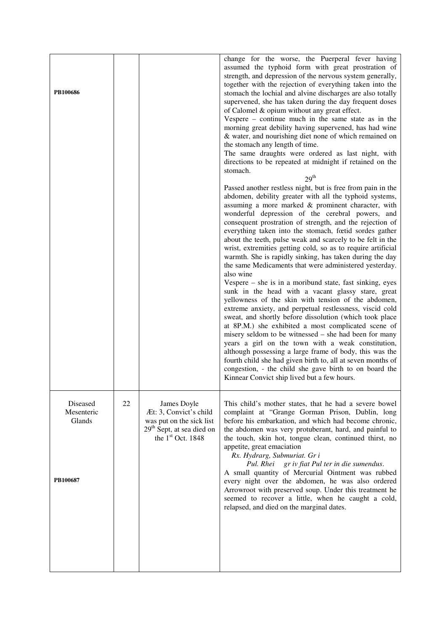| PB100686                                     |    |                                                                                                                                             | change for the worse, the Puerperal fever having<br>assumed the typhoid form with great prostration of<br>strength, and depression of the nervous system generally,<br>together with the rejection of everything taken into the<br>stomach the lochial and alvine discharges are also totally<br>supervened, she has taken during the day frequent doses<br>of Calomel & opium without any great effect.<br>Vespere $-$ continue much in the same state as in the<br>morning great debility having supervened, has had wine<br>& water, and nourishing diet none of which remained on<br>the stomach any length of time.<br>The same draughts were ordered as last night, with<br>directions to be repeated at midnight if retained on the<br>stomach.<br>29 <sup>th</sup><br>Passed another restless night, but is free from pain in the<br>abdomen, debility greater with all the typhoid systems,<br>assuming a more marked & prominent character, with<br>wonderful depression of the cerebral powers, and<br>consequent prostration of strength, and the rejection of<br>everything taken into the stomach, fœtid sordes gather<br>about the teeth, pulse weak and scarcely to be felt in the<br>wrist, extremities getting cold, so as to require artificial<br>warmth. She is rapidly sinking, has taken during the day<br>the same Medicaments that were administered yesterday.<br>also wine<br>Vespere $-$ she is in a moribund state, fast sinking, eyes<br>sunk in the head with a vacant glassy stare, great<br>yellowness of the skin with tension of the abdomen,<br>extreme anxiety, and perpetual restlessness, viscid cold<br>sweat, and shortly before dissolution (which took place<br>at 8P.M.) she exhibited a most complicated scene of<br>misery seldom to be witnessed – she had been for many<br>years a girl on the town with a weak constitution,<br>although possessing a large frame of body, this was the<br>fourth child she had given birth to, all at seven months of<br>congestion, - the child she gave birth to on board the<br>Kinnear Convict ship lived but a few hours. |
|----------------------------------------------|----|---------------------------------------------------------------------------------------------------------------------------------------------|------------------------------------------------------------------------------------------------------------------------------------------------------------------------------------------------------------------------------------------------------------------------------------------------------------------------------------------------------------------------------------------------------------------------------------------------------------------------------------------------------------------------------------------------------------------------------------------------------------------------------------------------------------------------------------------------------------------------------------------------------------------------------------------------------------------------------------------------------------------------------------------------------------------------------------------------------------------------------------------------------------------------------------------------------------------------------------------------------------------------------------------------------------------------------------------------------------------------------------------------------------------------------------------------------------------------------------------------------------------------------------------------------------------------------------------------------------------------------------------------------------------------------------------------------------------------------------------------------------------------------------------------------------------------------------------------------------------------------------------------------------------------------------------------------------------------------------------------------------------------------------------------------------------------------------------------------------------------------------------------------------------------------------------------------------------------------------------------------------------|
| Diseased<br>Mesenteric<br>Glands<br>PB100687 | 22 | James Doyle<br>Æt: 3, Convict's child<br>was put on the sick list<br>29 <sup>th</sup> Sept, at sea died on<br>the 1 <sup>st</sup> Oct. 1848 | This child's mother states, that he had a severe bowel<br>complaint at "Grange Gorman Prison, Dublin, long<br>before his embarkation, and which had become chronic,<br>the abdomen was very protuberant, hard, and painful to<br>the touch, skin hot, tongue clean, continued thirst, no<br>appetite, great emaciation<br>Rx. Hydrarg, Submuriat. Gr i<br>Pul. Rhei gr iv fiat Pul ter in die sumendus.<br>A small quantity of Mercurial Ointment was rubbed<br>every night over the abdomen, he was also ordered<br>Arrowroot with preserved soup. Under this treatment he<br>seemed to recover a little, when he caught a cold,<br>relapsed, and died on the marginal dates.                                                                                                                                                                                                                                                                                                                                                                                                                                                                                                                                                                                                                                                                                                                                                                                                                                                                                                                                                                                                                                                                                                                                                                                                                                                                                                                                                                                                                                   |
|                                              |    |                                                                                                                                             |                                                                                                                                                                                                                                                                                                                                                                                                                                                                                                                                                                                                                                                                                                                                                                                                                                                                                                                                                                                                                                                                                                                                                                                                                                                                                                                                                                                                                                                                                                                                                                                                                                                                                                                                                                                                                                                                                                                                                                                                                                                                                                                  |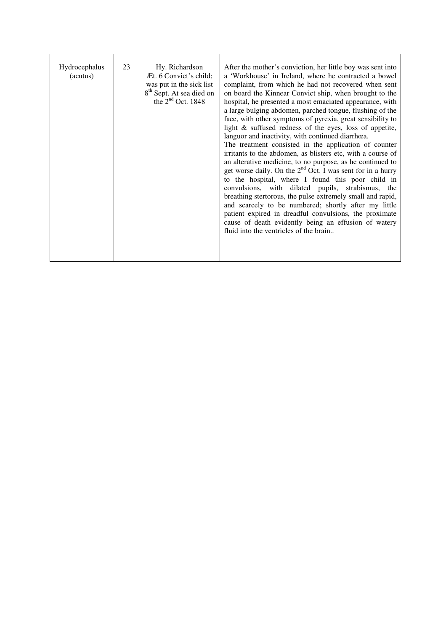| Hydrocephalus<br>(acutus) | 23 | Hy. Richardson<br>Æt. 6 Convict's child;<br>was put in the sick list<br>8 <sup>th</sup> Sept. At sea died on<br>the $2nd$ Oct. 1848 | After the mother's conviction, her little boy was sent into<br>a 'Workhouse' in Ireland, where he contracted a bowel<br>complaint, from which he had not recovered when sent<br>on board the Kinnear Convict ship, when brought to the<br>hospital, he presented a most emaciated appearance, with<br>a large bulging abdomen, parched tongue, flushing of the<br>face, with other symptoms of pyrexia, great sensibility to<br>light & suffused redness of the eyes, loss of appetite,<br>languor and inactivity, with continued diarrhœa.<br>The treatment consisted in the application of counter<br>irritants to the abdomen, as blisters etc, with a course of<br>an alterative medicine, to no purpose, as he continued to<br>get worse daily. On the $2nd$ Oct. I was sent for in a hurry<br>to the hospital, where I found this poor child in<br>convulsions, with dilated pupils, strabismus, the<br>breathing stertorous, the pulse extremely small and rapid,<br>and scarcely to be numbered; shortly after my little<br>patient expired in dreadful convulsions, the proximate<br>cause of death evidently being an effusion of watery<br>fluid into the ventricles of the brain |
|---------------------------|----|-------------------------------------------------------------------------------------------------------------------------------------|----------------------------------------------------------------------------------------------------------------------------------------------------------------------------------------------------------------------------------------------------------------------------------------------------------------------------------------------------------------------------------------------------------------------------------------------------------------------------------------------------------------------------------------------------------------------------------------------------------------------------------------------------------------------------------------------------------------------------------------------------------------------------------------------------------------------------------------------------------------------------------------------------------------------------------------------------------------------------------------------------------------------------------------------------------------------------------------------------------------------------------------------------------------------------------------------|
|---------------------------|----|-------------------------------------------------------------------------------------------------------------------------------------|----------------------------------------------------------------------------------------------------------------------------------------------------------------------------------------------------------------------------------------------------------------------------------------------------------------------------------------------------------------------------------------------------------------------------------------------------------------------------------------------------------------------------------------------------------------------------------------------------------------------------------------------------------------------------------------------------------------------------------------------------------------------------------------------------------------------------------------------------------------------------------------------------------------------------------------------------------------------------------------------------------------------------------------------------------------------------------------------------------------------------------------------------------------------------------------------|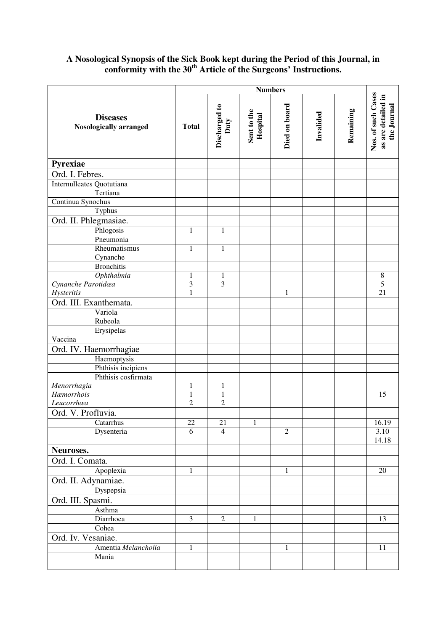## **A Nosological Synopsis of the Sick Book kept during the Period of this Journal, in conformity with the 30th Article of the Surgeons' Instructions.**

|                                                  | <b>Numbers</b>          |                       |                         |                |           |           |                                                         |
|--------------------------------------------------|-------------------------|-----------------------|-------------------------|----------------|-----------|-----------|---------------------------------------------------------|
| <b>Diseases</b><br><b>Nosologically arranged</b> | <b>Total</b>            | Discharged to<br>Duty | Sent to the<br>Hospital | Died on board  | Invalided | Remaining | Nos. of such Cases<br>as are detailed in<br>the Journal |
| Pyrexiae                                         |                         |                       |                         |                |           |           |                                                         |
| Ord. I. Febres.                                  |                         |                       |                         |                |           |           |                                                         |
| Internulleates Quotutiana<br>Tertiana            |                         |                       |                         |                |           |           |                                                         |
| Continua Synochus                                |                         |                       |                         |                |           |           |                                                         |
| Typhus                                           |                         |                       |                         |                |           |           |                                                         |
| Ord. II. Phlegmasiae.                            |                         |                       |                         |                |           |           |                                                         |
| Phlogosis                                        | 1                       | $\mathbf{1}$          |                         |                |           |           |                                                         |
| Pneumonia                                        |                         |                       |                         |                |           |           |                                                         |
| Rheumatismus                                     | 1                       | $\mathbf{1}$          |                         |                |           |           |                                                         |
| Cynanche                                         |                         |                       |                         |                |           |           |                                                         |
| <b>Bronchitis</b>                                |                         |                       |                         |                |           |           |                                                         |
| Ophthalmia                                       | $\mathbf 1$             | $\,1$                 |                         |                |           |           | $\,8\,$                                                 |
| Cynanche Parotidœa                               | 3                       | 3                     |                         |                |           |           | 5                                                       |
| Hysteritis                                       | 1                       |                       |                         | $\mathbf{1}$   |           |           | 21                                                      |
| Ord. III. Exanthemata.                           |                         |                       |                         |                |           |           |                                                         |
| Variola                                          |                         |                       |                         |                |           |           |                                                         |
| Rubeola                                          |                         |                       |                         |                |           |           |                                                         |
| Erysipelas                                       |                         |                       |                         |                |           |           |                                                         |
| Vaccina                                          |                         |                       |                         |                |           |           |                                                         |
| Ord. IV. Haemorrhagiae                           |                         |                       |                         |                |           |           |                                                         |
| Haemoptysis                                      |                         |                       |                         |                |           |           |                                                         |
| Phthisis incipiens                               |                         |                       |                         |                |           |           |                                                         |
| Phthisis cosfirmata                              |                         |                       |                         |                |           |           |                                                         |
| Menorrhagia                                      | 1                       | 1                     |                         |                |           |           |                                                         |
| Hæmorrhois                                       | 1                       | $\mathbf 1$           |                         |                |           |           | 15                                                      |
| Leucorrhœa                                       | 2                       | $\overline{c}$        |                         |                |           |           |                                                         |
| Ord. V. Profluvia.                               |                         |                       |                         |                |           |           |                                                         |
| Catarrhus                                        | $22\,$                  | 21                    | $\mathbf{1}$            |                |           |           | 16.19                                                   |
| Dysenteria                                       | 6                       | $\overline{4}$        |                         | $\overline{2}$ |           |           | 3.10                                                    |
|                                                  |                         |                       |                         |                |           |           | 14.18                                                   |
| Neuroses.                                        |                         |                       |                         |                |           |           |                                                         |
| Ord. I. Comata.                                  |                         |                       |                         |                |           |           |                                                         |
| Apoplexia                                        | 1                       |                       |                         | 1              |           |           | 20                                                      |
| Ord. II. Adynamiae.                              |                         |                       |                         |                |           |           |                                                         |
| Dyspepsia                                        |                         |                       |                         |                |           |           |                                                         |
| Ord. III. Spasmi.                                |                         |                       |                         |                |           |           |                                                         |
| Asthma                                           |                         |                       |                         |                |           |           |                                                         |
| Diarrhoea                                        | $\overline{\mathbf{3}}$ | $\overline{c}$        | 1                       |                |           |           | 13                                                      |
| Cohea                                            |                         |                       |                         |                |           |           |                                                         |
| Ord. Iv. Vesaniae.                               |                         |                       |                         |                |           |           |                                                         |
| Amentia Melancholia                              | $\mathbf{1}$            |                       |                         | 1              |           |           | 11                                                      |
| Mania                                            |                         |                       |                         |                |           |           |                                                         |
|                                                  |                         |                       |                         |                |           |           |                                                         |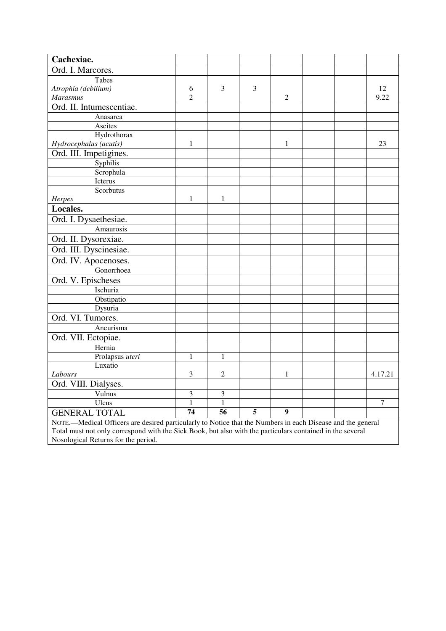| Cachexiae.                                                                                                                                       |                |                |                |                |  |         |
|--------------------------------------------------------------------------------------------------------------------------------------------------|----------------|----------------|----------------|----------------|--|---------|
| Ord. I. Marcores.                                                                                                                                |                |                |                |                |  |         |
| Tabes                                                                                                                                            |                |                |                |                |  |         |
| Atrophia (debilium)                                                                                                                              | 6              | 3              | 3              |                |  | 12      |
| Marasmus                                                                                                                                         | $\overline{2}$ |                |                | 2              |  | 9.22    |
| Ord. II. Intumescentiae.                                                                                                                         |                |                |                |                |  |         |
| Anasarca                                                                                                                                         |                |                |                |                |  |         |
| Ascites                                                                                                                                          |                |                |                |                |  |         |
| Hydrothorax                                                                                                                                      |                |                |                |                |  |         |
| Hydrocephalus (acutis)                                                                                                                           | 1              |                |                | 1              |  | 23      |
| Ord. III. Impetigines.                                                                                                                           |                |                |                |                |  |         |
| Syphilis                                                                                                                                         |                |                |                |                |  |         |
| Scrophula                                                                                                                                        |                |                |                |                |  |         |
| Icterus                                                                                                                                          |                |                |                |                |  |         |
| Scorbutus                                                                                                                                        |                |                |                |                |  |         |
| Herpes                                                                                                                                           | 1              | $\mathbf{1}$   |                |                |  |         |
| Locales.                                                                                                                                         |                |                |                |                |  |         |
| Ord. I. Dysaethesiae.                                                                                                                            |                |                |                |                |  |         |
| Amaurosis                                                                                                                                        |                |                |                |                |  |         |
| Ord. II. Dysorexiae.                                                                                                                             |                |                |                |                |  |         |
| Ord. III. Dyscinesiae.                                                                                                                           |                |                |                |                |  |         |
| Ord. IV. Apocenoses.                                                                                                                             |                |                |                |                |  |         |
| Gonorrhoea                                                                                                                                       |                |                |                |                |  |         |
| Ord. V. Epischeses                                                                                                                               |                |                |                |                |  |         |
| Ischuria                                                                                                                                         |                |                |                |                |  |         |
| Obstipatio                                                                                                                                       |                |                |                |                |  |         |
| Dysuria                                                                                                                                          |                |                |                |                |  |         |
| Ord. VI. Tumores.                                                                                                                                |                |                |                |                |  |         |
| Aneurisma                                                                                                                                        |                |                |                |                |  |         |
| Ord. VII. Ectopiae.                                                                                                                              |                |                |                |                |  |         |
| Hernia                                                                                                                                           |                |                |                |                |  |         |
| Prolapsus uteri                                                                                                                                  | $\mathbf{1}$   | $\mathbf{1}$   |                |                |  |         |
| Luxatio                                                                                                                                          |                |                |                |                |  |         |
| Labours                                                                                                                                          | 3              | $\overline{c}$ |                | 1              |  | 4.17.21 |
| Ord. VIII. Dialyses.                                                                                                                             |                |                |                |                |  |         |
| Vulnus                                                                                                                                           | 3              | $\mathfrak{Z}$ |                |                |  |         |
| Ulcus                                                                                                                                            | $\mathbf{1}$   | $\mathbf{1}$   |                |                |  | 7       |
| <b>GENERAL TOTAL</b>                                                                                                                             | 74             | 56             | $\overline{5}$ | $\overline{9}$ |  |         |
| NOTE.—Medical Officers are desired particularly to Notice that the Numbers in each Disease and the general                                       |                |                |                |                |  |         |
| Total must not only correspond with the Sick Book, but also with the particulars contained in the several<br>Nosological Returns for the period. |                |                |                |                |  |         |
|                                                                                                                                                  |                |                |                |                |  |         |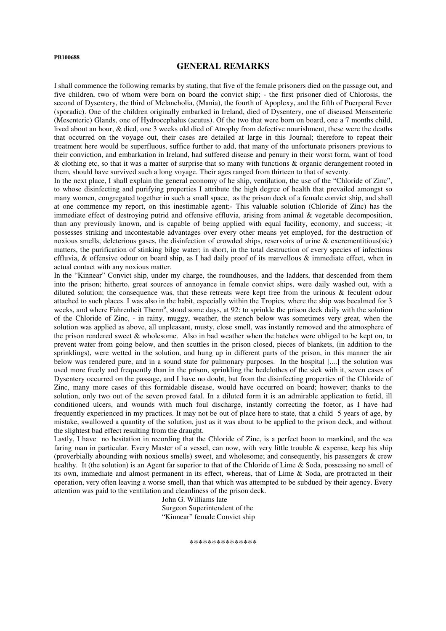#### **PB100688**

#### **GENERAL REMARKS**

I shall commence the following remarks by stating, that five of the female prisoners died on the passage out, and five children, two of whom were born on board the convict ship; - the first prisoner died of Chlorosis, the second of Dysentery, the third of Melancholia, (Mania), the fourth of Apoplexy, and the fifth of Puerperal Fever (sporadic). One of the children originally embarked in Ireland, died of Dysentery, one of diseased Mensenteric (Mesenteric) Glands, one of Hydrocephalus (acutus). Of the two that were born on board, one a 7 months child, lived about an hour, & died, one 3 weeks old died of Atrophy from defective nourishment, these were the deaths that occurred on the voyage out, their cases are detailed at large in this Journal; therefore to repeat their treatment here would be superfluous, suffice further to add, that many of the unfortunate prisoners previous to their conviction, and embarkation in Ireland, had suffered disease and penury in their worst form, want of food & clothing etc, so that it was a matter of surprise that so many with functions & organic derangement rooted in them, should have survived such a long voyage. Their ages ranged from thirteen to that of seventy.

In the next place, I shall explain the general economy of he ship, ventilation, the use of the "Chloride of Zinc", to whose disinfecting and purifying properties I attribute the high degree of health that prevailed amongst so many women, congregated together in such a small space, as the prison deck of a female convict ship, and shall at one commence my report, on this inestimable agent;- This valuable solution (Chloride of Zinc) has the immediate effect of destroying putrid and offensive effluvia, arising from animal & vegetable decomposition, than any previously known, and is capable of being applied with equal facility, economy, and success; -it possesses striking and incontestable advantages over every other means yet employed, for the destruction of noxious smells, deleterious gases, the disinfection of crowded ships, reservoirs of urine & excrementitious(sic) matters, the purification of stinking bilge water; in short, in the total destruction of every species of infectious effluvia, & offensive odour on board ship, as I had daily proof of its marvellous & immediate effect, when in actual contact with any noxious matter.

In the "Kinnear" Convict ship, under my charge, the roundhouses, and the ladders, that descended from them into the prison; hitherto, great sources of annoyance in female convict ships, were daily washed out, with a diluted solution; the consequence was, that these retreats were kept free from the urinous & feculent odour attached to such places. I was also in the habit, especially within the Tropics, where the ship was becalmed for 3 weeks, and where Fahrenheit Therm<sup>o</sup>, stood some days, at 92: to sprinkle the prison deck daily with the solution of the Chloride of Zinc, - in rainy, muggy, weather, the stench below was sometimes very great, when the solution was applied as above, all unpleasant, musty, close smell, was instantly removed and the atmosphere of the prison rendered sweet & wholesome. Also in bad weather when the hatches were obliged to be kept on, to prevent water from going below, and then scuttles in the prison closed, pieces of blankets, (in addition to the sprinklings), were wetted in the solution, and hung up in different parts of the prison, in this manner the air below was rendered pure, and in a sound state for pulmonary purposes. In the hospital [....] the solution was used more freely and frequently than in the prison, sprinkling the bedclothes of the sick with it, seven cases of Dysentery occurred on the passage, and I have no doubt, but from the disinfecting properties of the Chloride of Zinc, many more cases of this formidable disease, would have occurred on board; however; thanks to the solution, only two out of the seven proved fatal. In a diluted form it is an admirable application to fœtid, ill conditioned ulcers, and wounds with much foul discharge, instantly correcting the foetor, as I have had frequently experienced in my practices. It may not be out of place here to state, that a child 5 years of age, by mistake, swallowed a quantity of the solution, just as it was about to be applied to the prison deck, and without the slightest bad effect resulting from the draught.

Lastly, I have no hesitation in recording that the Chloride of Zinc, is a perfect boon to mankind, and the sea faring man in particular. Every Master of a vessel, can now, with very little trouble & expense, keep his ship (proverbially abounding with noxious smells) sweet, and wholesome; and consequently, his passengers & crew healthy. It (the solution) is an Agent far superior to that of the Chloride of Lime & Soda, possessing no smell of its own, immediate and almost permanent in its effect, whereas, that of Lime & Soda, are protracted in their operation, very often leaving a worse smell, than that which was attempted to be subdued by their agency. Every attention was paid to the ventilation and cleanliness of the prison deck.

 John G. Williams late Surgeon Superintendent of the "Kinnear" female Convict ship

\*\*\*\*\*\*\*\*\*\*\*\*\*